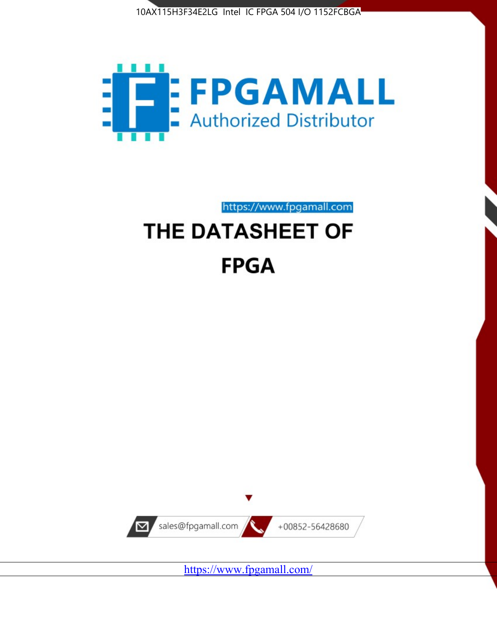



https://www.fpgamall.com

# THE DATASHEET OF **FPGA**



<https://www.fpgamall.com/>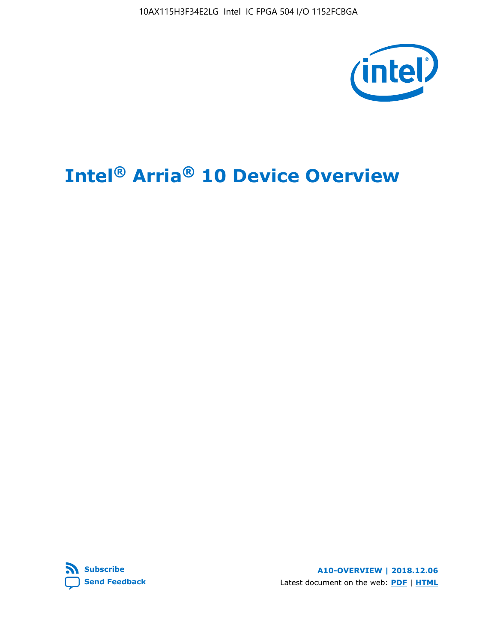10AX115H3F34E2LG Intel IC FPGA 504 I/O 1152FCBGA



# **Intel® Arria® 10 Device Overview**



**A10-OVERVIEW | 2018.12.06** Latest document on the web: **[PDF](https://www.intel.com/content/dam/www/programmable/us/en/pdfs/literature/hb/arria-10/a10_overview.pdf)** | **[HTML](https://www.intel.com/content/www/us/en/programmable/documentation/sam1403480274650.html)**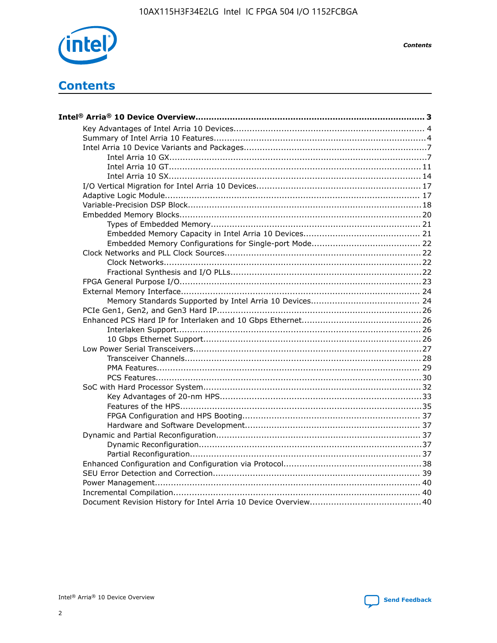

**Contents** 

# **Contents**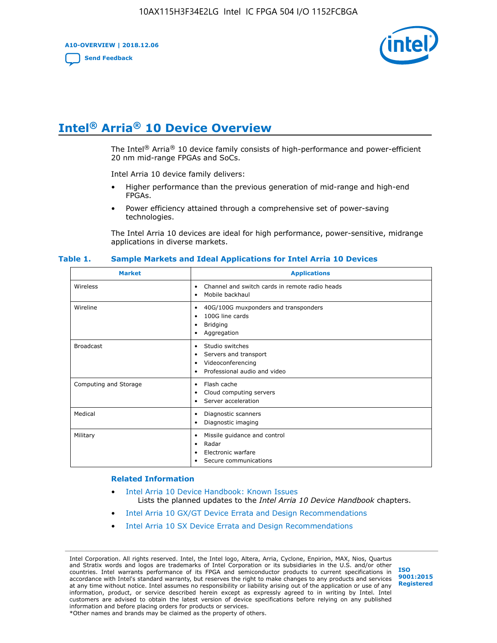**A10-OVERVIEW | 2018.12.06**

**[Send Feedback](mailto:FPGAtechdocfeedback@intel.com?subject=Feedback%20on%20Intel%20Arria%2010%20Device%20Overview%20(A10-OVERVIEW%202018.12.06)&body=We%20appreciate%20your%20feedback.%20In%20your%20comments,%20also%20specify%20the%20page%20number%20or%20paragraph.%20Thank%20you.)**



## **Intel® Arria® 10 Device Overview**

The Intel<sup>®</sup> Arria<sup>®</sup> 10 device family consists of high-performance and power-efficient 20 nm mid-range FPGAs and SoCs.

Intel Arria 10 device family delivers:

- Higher performance than the previous generation of mid-range and high-end FPGAs.
- Power efficiency attained through a comprehensive set of power-saving technologies.

The Intel Arria 10 devices are ideal for high performance, power-sensitive, midrange applications in diverse markets.

| <b>Market</b>         | <b>Applications</b>                                                                                               |
|-----------------------|-------------------------------------------------------------------------------------------------------------------|
| Wireless              | Channel and switch cards in remote radio heads<br>٠<br>Mobile backhaul<br>٠                                       |
| Wireline              | 40G/100G muxponders and transponders<br>٠<br>100G line cards<br>٠<br><b>Bridging</b><br>٠<br>Aggregation<br>٠     |
| <b>Broadcast</b>      | Studio switches<br>٠<br>Servers and transport<br>٠<br>Videoconferencing<br>٠<br>Professional audio and video<br>٠ |
| Computing and Storage | Flash cache<br>٠<br>Cloud computing servers<br>٠<br>Server acceleration<br>٠                                      |
| Medical               | Diagnostic scanners<br>٠<br>Diagnostic imaging<br>٠                                                               |
| Military              | Missile guidance and control<br>٠<br>Radar<br>٠<br>Electronic warfare<br>٠<br>Secure communications<br>٠          |

#### **Table 1. Sample Markets and Ideal Applications for Intel Arria 10 Devices**

#### **Related Information**

- [Intel Arria 10 Device Handbook: Known Issues](http://www.altera.com/support/kdb/solutions/rd07302013_646.html) Lists the planned updates to the *Intel Arria 10 Device Handbook* chapters.
- [Intel Arria 10 GX/GT Device Errata and Design Recommendations](https://www.intel.com/content/www/us/en/programmable/documentation/agz1493851706374.html#yqz1494433888646)
- [Intel Arria 10 SX Device Errata and Design Recommendations](https://www.intel.com/content/www/us/en/programmable/documentation/cru1462832385668.html#cru1462832558642)

Intel Corporation. All rights reserved. Intel, the Intel logo, Altera, Arria, Cyclone, Enpirion, MAX, Nios, Quartus and Stratix words and logos are trademarks of Intel Corporation or its subsidiaries in the U.S. and/or other countries. Intel warrants performance of its FPGA and semiconductor products to current specifications in accordance with Intel's standard warranty, but reserves the right to make changes to any products and services at any time without notice. Intel assumes no responsibility or liability arising out of the application or use of any information, product, or service described herein except as expressly agreed to in writing by Intel. Intel customers are advised to obtain the latest version of device specifications before relying on any published information and before placing orders for products or services. \*Other names and brands may be claimed as the property of others.

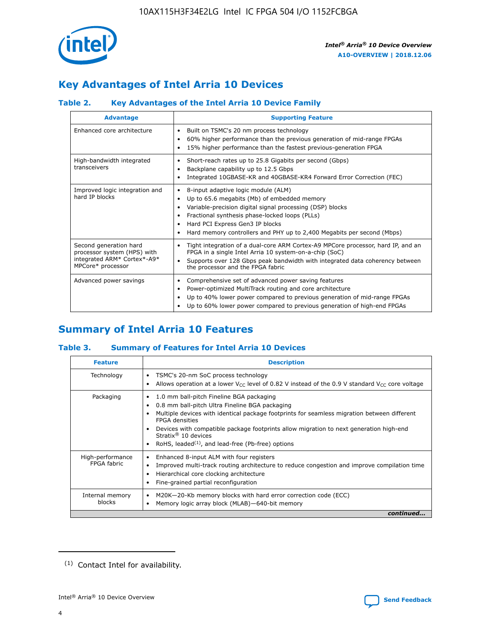

## **Key Advantages of Intel Arria 10 Devices**

#### **Table 2. Key Advantages of the Intel Arria 10 Device Family**

| <b>Advantage</b>                                                                                          | <b>Supporting Feature</b>                                                                                                                                                                                                                                                                                                     |
|-----------------------------------------------------------------------------------------------------------|-------------------------------------------------------------------------------------------------------------------------------------------------------------------------------------------------------------------------------------------------------------------------------------------------------------------------------|
| Enhanced core architecture                                                                                | Built on TSMC's 20 nm process technology<br>$\bullet$<br>60% higher performance than the previous generation of mid-range FPGAs<br>٠<br>15% higher performance than the fastest previous-generation FPGA<br>٠                                                                                                                 |
| High-bandwidth integrated<br>transceivers                                                                 | Short-reach rates up to 25.8 Gigabits per second (Gbps)<br>٠<br>Backplane capability up to 12.5 Gbps<br>٠<br>Integrated 10GBASE-KR and 40GBASE-KR4 Forward Error Correction (FEC)<br>٠                                                                                                                                        |
| Improved logic integration and<br>hard IP blocks                                                          | 8-input adaptive logic module (ALM)<br>٠<br>Up to 65.6 megabits (Mb) of embedded memory<br>٠<br>Variable-precision digital signal processing (DSP) blocks<br>Fractional synthesis phase-locked loops (PLLs)<br>٠<br>Hard PCI Express Gen3 IP blocks<br>Hard memory controllers and PHY up to 2,400 Megabits per second (Mbps) |
| Second generation hard<br>processor system (HPS) with<br>integrated ARM* Cortex*-A9*<br>MPCore* processor | Tight integration of a dual-core ARM Cortex-A9 MPCore processor, hard IP, and an<br>٠<br>FPGA in a single Intel Arria 10 system-on-a-chip (SoC)<br>Supports over 128 Gbps peak bandwidth with integrated data coherency between<br>$\bullet$<br>the processor and the FPGA fabric                                             |
| Advanced power savings                                                                                    | Comprehensive set of advanced power saving features<br>٠<br>Power-optimized MultiTrack routing and core architecture<br>٠<br>Up to 40% lower power compared to previous generation of mid-range FPGAs<br>٠<br>Up to 60% lower power compared to previous generation of high-end FPGAs                                         |

## **Summary of Intel Arria 10 Features**

#### **Table 3. Summary of Features for Intel Arria 10 Devices**

| <b>Feature</b>                  | <b>Description</b>                                                                                                                                                                                                                                                                                                                                                                                           |
|---------------------------------|--------------------------------------------------------------------------------------------------------------------------------------------------------------------------------------------------------------------------------------------------------------------------------------------------------------------------------------------------------------------------------------------------------------|
| Technology                      | TSMC's 20-nm SoC process technology<br>Allows operation at a lower $V_{\text{CC}}$ level of 0.82 V instead of the 0.9 V standard $V_{\text{CC}}$ core voltage                                                                                                                                                                                                                                                |
| Packaging                       | 1.0 mm ball-pitch Fineline BGA packaging<br>٠<br>0.8 mm ball-pitch Ultra Fineline BGA packaging<br>Multiple devices with identical package footprints for seamless migration between different<br><b>FPGA</b> densities<br>Devices with compatible package footprints allow migration to next generation high-end<br>Stratix <sup>®</sup> 10 devices<br>RoHS, leaded $(1)$ , and lead-free (Pb-free) options |
| High-performance<br>FPGA fabric | Enhanced 8-input ALM with four registers<br>Improved multi-track routing architecture to reduce congestion and improve compilation time<br>Hierarchical core clocking architecture<br>Fine-grained partial reconfiguration                                                                                                                                                                                   |
| Internal memory<br>blocks       | M20K-20-Kb memory blocks with hard error correction code (ECC)<br>Memory logic array block (MLAB)-640-bit memory                                                                                                                                                                                                                                                                                             |
|                                 | continued                                                                                                                                                                                                                                                                                                                                                                                                    |



<sup>(1)</sup> Contact Intel for availability.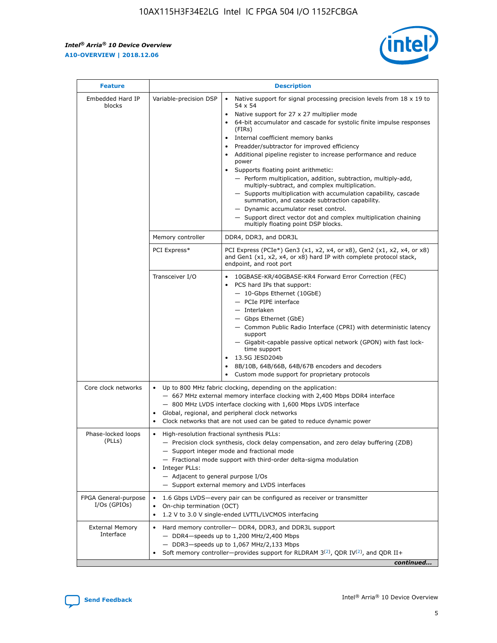$\mathsf{r}$ 



| <b>Feature</b>                         |                                                                                                                | <b>Description</b>                                                                                                                                                                                                                                                                                                                                                                                                                                                                                                                                                                                                                                                                                                                                                                                                                          |  |  |  |  |
|----------------------------------------|----------------------------------------------------------------------------------------------------------------|---------------------------------------------------------------------------------------------------------------------------------------------------------------------------------------------------------------------------------------------------------------------------------------------------------------------------------------------------------------------------------------------------------------------------------------------------------------------------------------------------------------------------------------------------------------------------------------------------------------------------------------------------------------------------------------------------------------------------------------------------------------------------------------------------------------------------------------------|--|--|--|--|
| Embedded Hard IP<br>blocks             | Variable-precision DSP                                                                                         | Native support for signal processing precision levels from $18 \times 19$ to<br>$\bullet$<br>54 x 54<br>Native support for 27 x 27 multiplier mode<br>64-bit accumulator and cascade for systolic finite impulse responses<br>(FIRs)<br>Internal coefficient memory banks<br>٠<br>Preadder/subtractor for improved efficiency<br>Additional pipeline register to increase performance and reduce<br>power<br>Supports floating point arithmetic:<br>- Perform multiplication, addition, subtraction, multiply-add,<br>multiply-subtract, and complex multiplication.<br>- Supports multiplication with accumulation capability, cascade<br>summation, and cascade subtraction capability.<br>- Dynamic accumulator reset control.<br>- Support direct vector dot and complex multiplication chaining<br>multiply floating point DSP blocks. |  |  |  |  |
|                                        | Memory controller                                                                                              | DDR4, DDR3, and DDR3L                                                                                                                                                                                                                                                                                                                                                                                                                                                                                                                                                                                                                                                                                                                                                                                                                       |  |  |  |  |
|                                        | PCI Express*                                                                                                   | PCI Express (PCIe*) Gen3 (x1, x2, x4, or x8), Gen2 (x1, x2, x4, or x8)<br>and Gen1 (x1, x2, x4, or x8) hard IP with complete protocol stack,<br>endpoint, and root port                                                                                                                                                                                                                                                                                                                                                                                                                                                                                                                                                                                                                                                                     |  |  |  |  |
|                                        | Transceiver I/O                                                                                                | 10GBASE-KR/40GBASE-KR4 Forward Error Correction (FEC)<br>PCS hard IPs that support:<br>- 10-Gbps Ethernet (10GbE)<br>- PCIe PIPE interface<br>- Interlaken<br>- Gbps Ethernet (GbE)<br>- Common Public Radio Interface (CPRI) with deterministic latency<br>support<br>- Gigabit-capable passive optical network (GPON) with fast lock-<br>time support<br>13.5G JESD204b<br>$\bullet$<br>8B/10B, 64B/66B, 64B/67B encoders and decoders<br>Custom mode support for proprietary protocols                                                                                                                                                                                                                                                                                                                                                   |  |  |  |  |
| Core clock networks                    | $\bullet$<br>$\bullet$                                                                                         | Up to 800 MHz fabric clocking, depending on the application:<br>- 667 MHz external memory interface clocking with 2,400 Mbps DDR4 interface<br>- 800 MHz LVDS interface clocking with 1,600 Mbps LVDS interface<br>Global, regional, and peripheral clock networks<br>Clock networks that are not used can be gated to reduce dynamic power                                                                                                                                                                                                                                                                                                                                                                                                                                                                                                 |  |  |  |  |
| Phase-locked loops<br>(PLLs)           | High-resolution fractional synthesis PLLs:<br>$\bullet$<br>Integer PLLs:<br>- Adjacent to general purpose I/Os | - Precision clock synthesis, clock delay compensation, and zero delay buffering (ZDB)<br>- Support integer mode and fractional mode<br>- Fractional mode support with third-order delta-sigma modulation<br>- Support external memory and LVDS interfaces                                                                                                                                                                                                                                                                                                                                                                                                                                                                                                                                                                                   |  |  |  |  |
| FPGA General-purpose<br>$I/Os$ (GPIOs) | On-chip termination (OCT)<br>$\bullet$                                                                         | 1.6 Gbps LVDS-every pair can be configured as receiver or transmitter<br>1.2 V to 3.0 V single-ended LVTTL/LVCMOS interfacing                                                                                                                                                                                                                                                                                                                                                                                                                                                                                                                                                                                                                                                                                                               |  |  |  |  |
| <b>External Memory</b><br>Interface    |                                                                                                                | Hard memory controller- DDR4, DDR3, and DDR3L support<br>$-$ DDR4 $-$ speeds up to 1,200 MHz/2,400 Mbps<br>- DDR3-speeds up to 1,067 MHz/2,133 Mbps<br>Soft memory controller—provides support for RLDRAM $3^{(2)}$ , QDR IV $(2^2)$ , and QDR II+<br>continued                                                                                                                                                                                                                                                                                                                                                                                                                                                                                                                                                                             |  |  |  |  |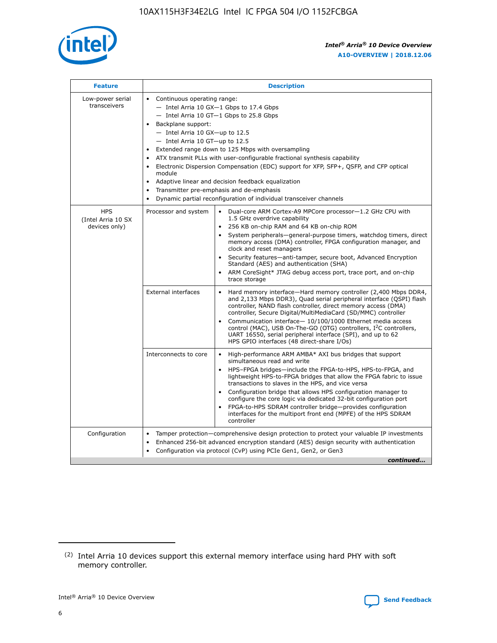

| <b>Feature</b>                                    | <b>Description</b>                                                                                                                                                                                                                                                                                                                                                                                                                                                                                                                                                                                                                                    |  |  |  |  |  |  |
|---------------------------------------------------|-------------------------------------------------------------------------------------------------------------------------------------------------------------------------------------------------------------------------------------------------------------------------------------------------------------------------------------------------------------------------------------------------------------------------------------------------------------------------------------------------------------------------------------------------------------------------------------------------------------------------------------------------------|--|--|--|--|--|--|
| Low-power serial<br>transceivers                  | • Continuous operating range:<br>- Intel Arria 10 GX-1 Gbps to 17.4 Gbps<br>- Intel Arria 10 GT-1 Gbps to 25.8 Gbps<br>Backplane support:<br>$-$ Intel Arria 10 GX-up to 12.5<br>- Intel Arria 10 GT-up to 12.5<br>Extended range down to 125 Mbps with oversampling<br>ATX transmit PLLs with user-configurable fractional synthesis capability<br>Electronic Dispersion Compensation (EDC) support for XFP, SFP+, QSFP, and CFP optical<br>module<br>Adaptive linear and decision feedback equalization<br>$\bullet$<br>Transmitter pre-emphasis and de-emphasis<br>$\bullet$<br>Dynamic partial reconfiguration of individual transceiver channels |  |  |  |  |  |  |
| <b>HPS</b><br>(Intel Arria 10 SX<br>devices only) | Dual-core ARM Cortex-A9 MPCore processor-1.2 GHz CPU with<br>Processor and system<br>$\bullet$<br>1.5 GHz overdrive capability<br>256 KB on-chip RAM and 64 KB on-chip ROM<br>System peripherals—general-purpose timers, watchdog timers, direct<br>memory access (DMA) controller, FPGA configuration manager, and<br>clock and reset managers<br>• Security features—anti-tamper, secure boot, Advanced Encryption<br>Standard (AES) and authentication (SHA)<br>ARM CoreSight* JTAG debug access port, trace port, and on-chip<br>trace storage                                                                                                    |  |  |  |  |  |  |
|                                                   | <b>External interfaces</b><br>Hard memory interface-Hard memory controller (2,400 Mbps DDR4,<br>$\bullet$<br>and 2,133 Mbps DDR3), Quad serial peripheral interface (QSPI) flash<br>controller, NAND flash controller, direct memory access (DMA)<br>controller, Secure Digital/MultiMediaCard (SD/MMC) controller<br>Communication interface-10/100/1000 Ethernet media access<br>control (MAC), USB On-The-GO (OTG) controllers, I <sup>2</sup> C controllers,<br>UART 16550, serial peripheral interface (SPI), and up to 62<br>HPS GPIO interfaces (48 direct-share I/Os)                                                                         |  |  |  |  |  |  |
|                                                   | High-performance ARM AMBA* AXI bus bridges that support<br>Interconnects to core<br>$\bullet$<br>simultaneous read and write<br>HPS-FPGA bridges-include the FPGA-to-HPS, HPS-to-FPGA, and<br>$\bullet$<br>lightweight HPS-to-FPGA bridges that allow the FPGA fabric to issue<br>transactions to slaves in the HPS, and vice versa<br>Configuration bridge that allows HPS configuration manager to<br>configure the core logic via dedicated 32-bit configuration port<br>FPGA-to-HPS SDRAM controller bridge-provides configuration<br>interfaces for the multiport front end (MPFE) of the HPS SDRAM<br>controller                                |  |  |  |  |  |  |
| Configuration                                     | Tamper protection—comprehensive design protection to protect your valuable IP investments<br>Enhanced 256-bit advanced encryption standard (AES) design security with authentication<br>٠<br>Configuration via protocol (CvP) using PCIe Gen1, Gen2, or Gen3<br>continued                                                                                                                                                                                                                                                                                                                                                                             |  |  |  |  |  |  |

<sup>(2)</sup> Intel Arria 10 devices support this external memory interface using hard PHY with soft memory controller.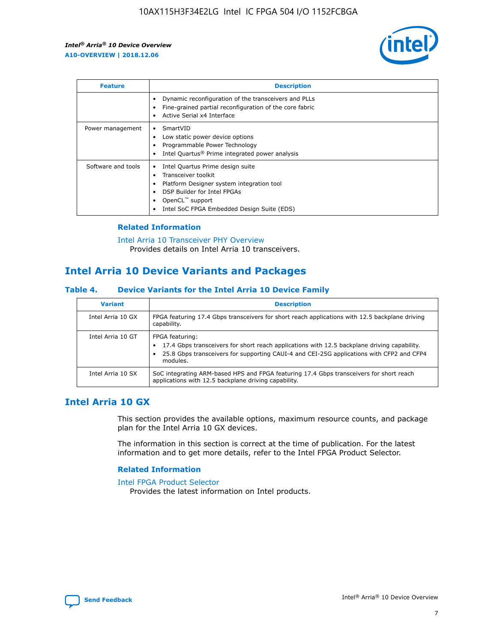

| <b>Feature</b>     | <b>Description</b>                                                                                                                                                                                               |
|--------------------|------------------------------------------------------------------------------------------------------------------------------------------------------------------------------------------------------------------|
|                    | Dynamic reconfiguration of the transceivers and PLLs<br>Fine-grained partial reconfiguration of the core fabric<br>Active Serial x4 Interface<br>$\bullet$                                                       |
| Power management   | SmartVID<br>$\bullet$<br>Low static power device options<br>Programmable Power Technology<br>Intel Quartus <sup>®</sup> Prime integrated power analysis                                                          |
| Software and tools | Intel Quartus Prime design suite<br>Transceiver toolkit<br>Platform Designer system integration tool<br>DSP Builder for Intel FPGAs<br>OpenCL <sup>"</sup> support<br>Intel SoC FPGA Embedded Design Suite (EDS) |

#### **Related Information**

#### [Intel Arria 10 Transceiver PHY Overview](https://www.intel.com/content/www/us/en/programmable/documentation/nik1398707230472.html#nik1398706768037) Provides details on Intel Arria 10 transceivers.

## **Intel Arria 10 Device Variants and Packages**

#### **Table 4. Device Variants for the Intel Arria 10 Device Family**

| <b>Variant</b>    | <b>Description</b>                                                                                                                                                                                                     |
|-------------------|------------------------------------------------------------------------------------------------------------------------------------------------------------------------------------------------------------------------|
| Intel Arria 10 GX | FPGA featuring 17.4 Gbps transceivers for short reach applications with 12.5 backplane driving<br>capability.                                                                                                          |
| Intel Arria 10 GT | FPGA featuring:<br>17.4 Gbps transceivers for short reach applications with 12.5 backplane driving capability.<br>25.8 Gbps transceivers for supporting CAUI-4 and CEI-25G applications with CFP2 and CFP4<br>modules. |
| Intel Arria 10 SX | SoC integrating ARM-based HPS and FPGA featuring 17.4 Gbps transceivers for short reach<br>applications with 12.5 backplane driving capability.                                                                        |

## **Intel Arria 10 GX**

This section provides the available options, maximum resource counts, and package plan for the Intel Arria 10 GX devices.

The information in this section is correct at the time of publication. For the latest information and to get more details, refer to the Intel FPGA Product Selector.

#### **Related Information**

#### [Intel FPGA Product Selector](http://www.altera.com/products/selector/psg-selector.html) Provides the latest information on Intel products.

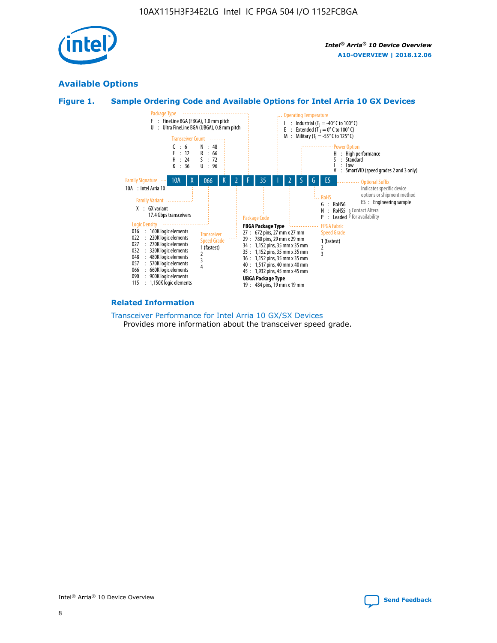

## **Available Options**





#### **Related Information**

[Transceiver Performance for Intel Arria 10 GX/SX Devices](https://www.intel.com/content/www/us/en/programmable/documentation/mcn1413182292568.html#mcn1413213965502) Provides more information about the transceiver speed grade.

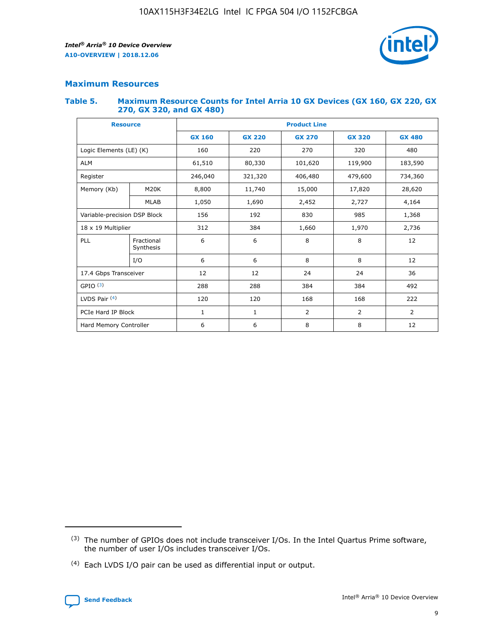

#### **Maximum Resources**

#### **Table 5. Maximum Resource Counts for Intel Arria 10 GX Devices (GX 160, GX 220, GX 270, GX 320, and GX 480)**

| <b>Resource</b>              |                         | <b>Product Line</b> |                                                 |                |                |                |  |  |
|------------------------------|-------------------------|---------------------|-------------------------------------------------|----------------|----------------|----------------|--|--|
|                              |                         | <b>GX 160</b>       | <b>GX 220</b><br><b>GX 270</b><br><b>GX 320</b> |                |                | <b>GX 480</b>  |  |  |
| Logic Elements (LE) (K)      |                         | 160                 | 220                                             | 270            | 320            | 480            |  |  |
| <b>ALM</b>                   |                         | 61,510              | 80,330                                          | 101,620        | 119,900        | 183,590        |  |  |
| Register                     |                         | 246,040             | 406,480<br>321,320                              |                | 479,600        | 734,360        |  |  |
| Memory (Kb)                  | M <sub>20</sub> K       | 8,800               | 11,740                                          | 15,000         | 17,820         | 28,620         |  |  |
|                              | <b>MLAB</b>             | 1,050               | 1,690<br>2,452<br>2,727                         |                |                | 4,164          |  |  |
| Variable-precision DSP Block |                         | 156                 | 192                                             | 830            | 985            | 1,368          |  |  |
| 18 x 19 Multiplier           |                         | 312                 | 384                                             | 1,970<br>1,660 |                | 2,736          |  |  |
| PLL                          | Fractional<br>Synthesis | 6                   | 6                                               | 8              | 8              | 12             |  |  |
|                              | I/O                     | 6                   | 6                                               | 8              | 8              | 12             |  |  |
| 17.4 Gbps Transceiver        |                         | 12                  | 12                                              | 24             | 24             | 36             |  |  |
| GPIO <sup>(3)</sup>          |                         | 288                 | 288                                             | 384            | 384            |                |  |  |
| LVDS Pair $(4)$              |                         | 120                 | 120                                             | 168            | 168            | 222            |  |  |
| PCIe Hard IP Block           |                         | 1                   | 1                                               | 2              | $\overline{2}$ | $\overline{2}$ |  |  |
| Hard Memory Controller       |                         | 6                   | 6                                               | 8              | 8              | 12             |  |  |

<sup>(4)</sup> Each LVDS I/O pair can be used as differential input or output.



<sup>(3)</sup> The number of GPIOs does not include transceiver I/Os. In the Intel Quartus Prime software, the number of user I/Os includes transceiver I/Os.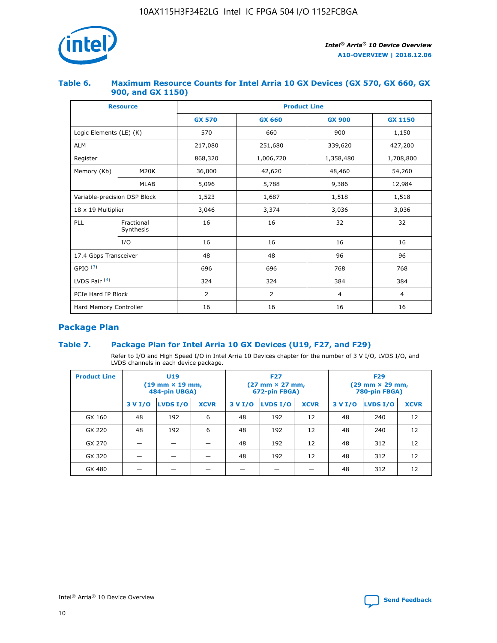

#### **Table 6. Maximum Resource Counts for Intel Arria 10 GX Devices (GX 570, GX 660, GX 900, and GX 1150)**

|                              | <b>Resource</b>         | <b>Product Line</b> |                        |                |                |  |  |  |
|------------------------------|-------------------------|---------------------|------------------------|----------------|----------------|--|--|--|
|                              |                         | <b>GX 570</b>       | <b>GX 660</b>          | <b>GX 900</b>  | <b>GX 1150</b> |  |  |  |
| Logic Elements (LE) (K)      |                         | 570                 | 660                    | 900            | 1,150          |  |  |  |
| <b>ALM</b>                   |                         | 217,080             | 251,680                | 339,620        | 427,200        |  |  |  |
| Register                     |                         | 868,320             | 1,006,720<br>1,358,480 |                | 1,708,800      |  |  |  |
| Memory (Kb)                  | <b>M20K</b>             | 36,000              | 42,620                 | 48,460         | 54,260         |  |  |  |
|                              | <b>MLAB</b>             | 5,096               | 5,788                  | 9,386          | 12,984         |  |  |  |
| Variable-precision DSP Block |                         | 1,523               | 1,687                  | 1,518          | 1,518          |  |  |  |
| $18 \times 19$ Multiplier    |                         | 3,046               | 3,374                  | 3,036          | 3,036          |  |  |  |
| PLL                          | Fractional<br>Synthesis | 16                  | 16                     | 32             | 32             |  |  |  |
|                              | I/O                     | 16                  | 16                     | 16             | 16             |  |  |  |
| 17.4 Gbps Transceiver        |                         | 48                  | 48<br>96               |                | 96             |  |  |  |
| GPIO <sup>(3)</sup>          |                         | 696                 | 696                    | 768            | 768            |  |  |  |
| LVDS Pair $(4)$              |                         | 324                 | 324                    | 384            | 384            |  |  |  |
| PCIe Hard IP Block           |                         | 2                   | $\overline{2}$         | $\overline{4}$ | 4              |  |  |  |
| Hard Memory Controller       |                         | 16                  | 16                     | 16             | 16             |  |  |  |

## **Package Plan**

#### **Table 7. Package Plan for Intel Arria 10 GX Devices (U19, F27, and F29)**

Refer to I/O and High Speed I/O in Intel Arria 10 Devices chapter for the number of 3 V I/O, LVDS I/O, and LVDS channels in each device package.

| <b>Product Line</b> | U <sub>19</sub><br>$(19 \text{ mm} \times 19 \text{ mm})$<br>484-pin UBGA) |          |             | <b>F27</b><br>(27 mm × 27 mm,<br>672-pin FBGA) |          |             | <b>F29</b><br>(29 mm × 29 mm,<br>780-pin FBGA) |          |             |  |
|---------------------|----------------------------------------------------------------------------|----------|-------------|------------------------------------------------|----------|-------------|------------------------------------------------|----------|-------------|--|
|                     | 3 V I/O                                                                    | LVDS I/O | <b>XCVR</b> | 3 V I/O                                        | LVDS I/O | <b>XCVR</b> | 3 V I/O                                        | LVDS I/O | <b>XCVR</b> |  |
| GX 160              | 48                                                                         | 192      | 6           | 48                                             | 192      | 12          | 48                                             | 240      | 12          |  |
| GX 220              | 48                                                                         | 192      | 6           | 48                                             | 192      | 12          | 48                                             | 240      | 12          |  |
| GX 270              |                                                                            |          |             | 48                                             | 192      | 12          | 48                                             | 312      | 12          |  |
| GX 320              |                                                                            |          |             | 48                                             | 192      | 12          | 48                                             | 312      | 12          |  |
| GX 480              |                                                                            |          |             |                                                |          |             | 48                                             | 312      | 12          |  |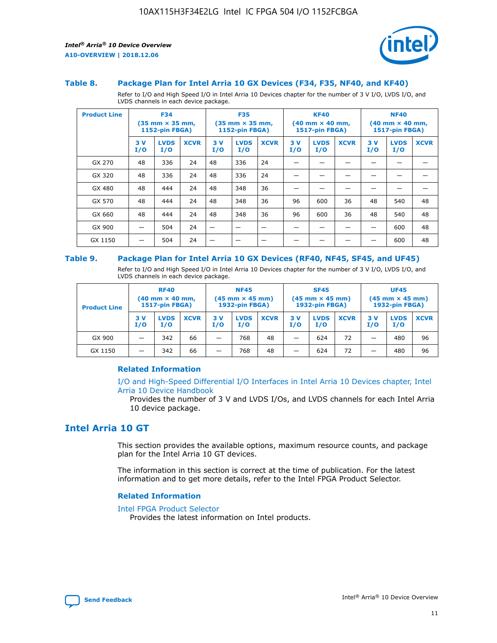

#### **Table 8. Package Plan for Intel Arria 10 GX Devices (F34, F35, NF40, and KF40)**

Refer to I/O and High Speed I/O in Intel Arria 10 Devices chapter for the number of 3 V I/O, LVDS I/O, and LVDS channels in each device package.

| <b>Product Line</b> | <b>F34</b><br>$(35 \text{ mm} \times 35 \text{ mm})$<br>1152-pin FBGA) |                    | <b>F35</b><br>$(35 \text{ mm} \times 35 \text{ mm})$<br><b>1152-pin FBGA)</b> |           | <b>KF40</b><br>$(40$ mm $\times$ 40 mm,<br>1517-pin FBGA) |             |           | <b>NF40</b><br>$(40$ mm $\times$ 40 mm,<br><b>1517-pin FBGA)</b> |             |            |                    |             |
|---------------------|------------------------------------------------------------------------|--------------------|-------------------------------------------------------------------------------|-----------|-----------------------------------------------------------|-------------|-----------|------------------------------------------------------------------|-------------|------------|--------------------|-------------|
|                     | 3V<br>I/O                                                              | <b>LVDS</b><br>I/O | <b>XCVR</b>                                                                   | 3V<br>I/O | <b>LVDS</b><br>I/O                                        | <b>XCVR</b> | 3V<br>I/O | <b>LVDS</b><br>I/O                                               | <b>XCVR</b> | 3 V<br>I/O | <b>LVDS</b><br>I/O | <b>XCVR</b> |
| GX 270              | 48                                                                     | 336                | 24                                                                            | 48        | 336                                                       | 24          |           |                                                                  |             |            |                    |             |
| GX 320              | 48                                                                     | 336                | 24                                                                            | 48        | 336                                                       | 24          |           |                                                                  |             |            |                    |             |
| GX 480              | 48                                                                     | 444                | 24                                                                            | 48        | 348                                                       | 36          |           |                                                                  |             |            |                    |             |
| GX 570              | 48                                                                     | 444                | 24                                                                            | 48        | 348                                                       | 36          | 96        | 600                                                              | 36          | 48         | 540                | 48          |
| GX 660              | 48                                                                     | 444                | 24                                                                            | 48        | 348                                                       | 36          | 96        | 600                                                              | 36          | 48         | 540                | 48          |
| GX 900              |                                                                        | 504                | 24                                                                            | -         |                                                           |             |           |                                                                  |             |            | 600                | 48          |
| GX 1150             |                                                                        | 504                | 24                                                                            |           |                                                           |             |           |                                                                  |             |            | 600                | 48          |

#### **Table 9. Package Plan for Intel Arria 10 GX Devices (RF40, NF45, SF45, and UF45)**

Refer to I/O and High Speed I/O in Intel Arria 10 Devices chapter for the number of 3 V I/O, LVDS I/O, and LVDS channels in each device package.

| <b>Product Line</b> | <b>RF40</b><br>$(40$ mm $\times$ 40 mm,<br>1517-pin FBGA) |                    |             | <b>NF45</b><br>$(45 \text{ mm} \times 45 \text{ mm})$<br><b>1932-pin FBGA)</b> |                    |             | <b>SF45</b><br>$(45 \text{ mm} \times 45 \text{ mm})$<br><b>1932-pin FBGA)</b> |                    |             | <b>UF45</b><br>$(45 \text{ mm} \times 45 \text{ mm})$<br><b>1932-pin FBGA)</b> |                    |             |
|---------------------|-----------------------------------------------------------|--------------------|-------------|--------------------------------------------------------------------------------|--------------------|-------------|--------------------------------------------------------------------------------|--------------------|-------------|--------------------------------------------------------------------------------|--------------------|-------------|
|                     | 3V<br>I/O                                                 | <b>LVDS</b><br>I/O | <b>XCVR</b> | 3 V<br>I/O                                                                     | <b>LVDS</b><br>I/O | <b>XCVR</b> | 3 V<br>I/O                                                                     | <b>LVDS</b><br>I/O | <b>XCVR</b> | 3V<br>I/O                                                                      | <b>LVDS</b><br>I/O | <b>XCVR</b> |
| GX 900              |                                                           | 342                | 66          | _                                                                              | 768                | 48          |                                                                                | 624                | 72          |                                                                                | 480                | 96          |
| GX 1150             |                                                           | 342                | 66          | _                                                                              | 768                | 48          |                                                                                | 624                | 72          |                                                                                | 480                | 96          |

#### **Related Information**

[I/O and High-Speed Differential I/O Interfaces in Intel Arria 10 Devices chapter, Intel](https://www.intel.com/content/www/us/en/programmable/documentation/sam1403482614086.html#sam1403482030321) [Arria 10 Device Handbook](https://www.intel.com/content/www/us/en/programmable/documentation/sam1403482614086.html#sam1403482030321)

Provides the number of 3 V and LVDS I/Os, and LVDS channels for each Intel Arria 10 device package.

## **Intel Arria 10 GT**

This section provides the available options, maximum resource counts, and package plan for the Intel Arria 10 GT devices.

The information in this section is correct at the time of publication. For the latest information and to get more details, refer to the Intel FPGA Product Selector.

#### **Related Information**

#### [Intel FPGA Product Selector](http://www.altera.com/products/selector/psg-selector.html)

Provides the latest information on Intel products.

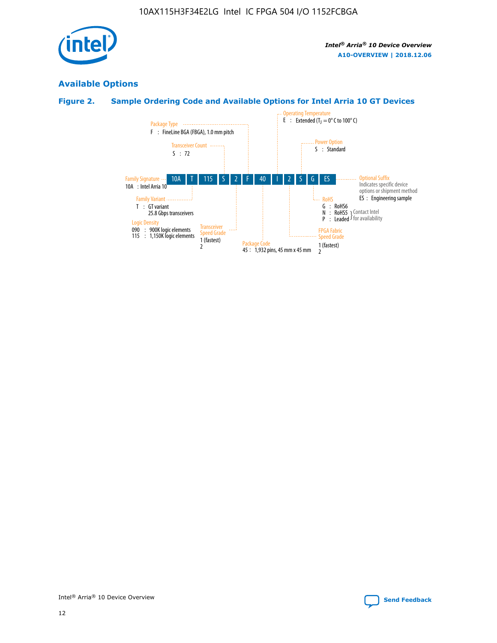

## **Available Options**

## **Figure 2. Sample Ordering Code and Available Options for Intel Arria 10 GT Devices**

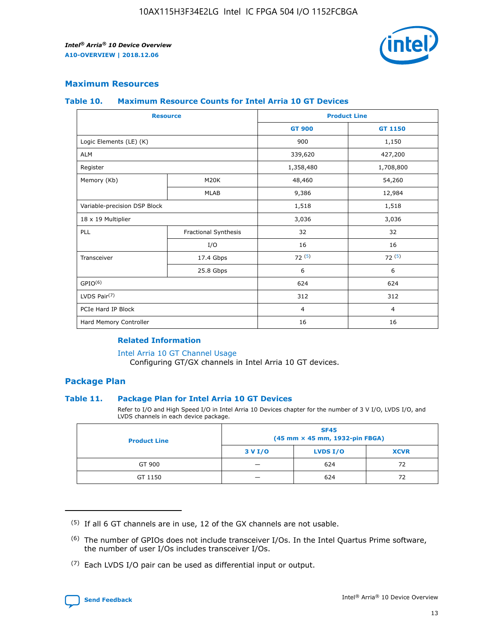

#### **Maximum Resources**

#### **Table 10. Maximum Resource Counts for Intel Arria 10 GT Devices**

| <b>Resource</b>              |                      |                | <b>Product Line</b> |  |
|------------------------------|----------------------|----------------|---------------------|--|
|                              |                      | <b>GT 900</b>  | <b>GT 1150</b>      |  |
| Logic Elements (LE) (K)      |                      | 900            | 1,150               |  |
| <b>ALM</b>                   |                      | 339,620        | 427,200             |  |
| Register                     |                      | 1,358,480      | 1,708,800           |  |
| Memory (Kb)                  | M <sub>20</sub> K    | 48,460         | 54,260              |  |
|                              | <b>MLAB</b>          | 9,386          | 12,984              |  |
| Variable-precision DSP Block |                      | 1,518          | 1,518               |  |
| 18 x 19 Multiplier           |                      | 3,036          | 3,036               |  |
| PLL                          | Fractional Synthesis | 32             | 32                  |  |
|                              | I/O                  | 16             | 16                  |  |
| Transceiver                  | 17.4 Gbps            | 72(5)          | 72(5)               |  |
|                              | 25.8 Gbps            | 6              | 6                   |  |
| GPIO <sup>(6)</sup>          |                      | 624            | 624                 |  |
| LVDS Pair $(7)$              |                      | 312            | 312                 |  |
| PCIe Hard IP Block           |                      | $\overline{4}$ | $\overline{4}$      |  |
| Hard Memory Controller       |                      | 16             | 16                  |  |

#### **Related Information**

#### [Intel Arria 10 GT Channel Usage](https://www.intel.com/content/www/us/en/programmable/documentation/nik1398707230472.html#nik1398707008178)

Configuring GT/GX channels in Intel Arria 10 GT devices.

#### **Package Plan**

#### **Table 11. Package Plan for Intel Arria 10 GT Devices**

Refer to I/O and High Speed I/O in Intel Arria 10 Devices chapter for the number of 3 V I/O, LVDS I/O, and LVDS channels in each device package.

| <b>Product Line</b> | <b>SF45</b><br>(45 mm × 45 mm, 1932-pin FBGA) |                 |             |  |  |  |
|---------------------|-----------------------------------------------|-----------------|-------------|--|--|--|
|                     | 3 V I/O                                       | <b>LVDS I/O</b> | <b>XCVR</b> |  |  |  |
| GT 900              |                                               | 624             | 72          |  |  |  |
| GT 1150             |                                               | 624             |             |  |  |  |

<sup>(7)</sup> Each LVDS I/O pair can be used as differential input or output.



 $(5)$  If all 6 GT channels are in use, 12 of the GX channels are not usable.

<sup>(6)</sup> The number of GPIOs does not include transceiver I/Os. In the Intel Quartus Prime software, the number of user I/Os includes transceiver I/Os.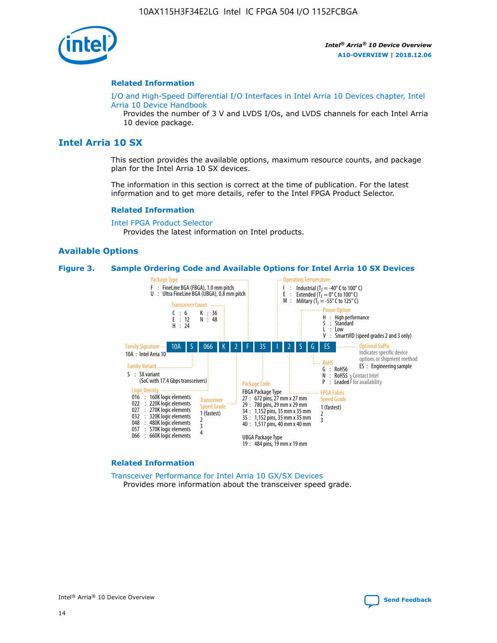

#### **Related Information**

[I/O and High-Speed Differential I/O Interfaces in Intel Arria 10 Devices chapter, Intel](https://www.intel.com/content/www/us/en/programmable/documentation/sam1403482614086.html#sam1403482030321) [Arria 10 Device Handbook](https://www.intel.com/content/www/us/en/programmable/documentation/sam1403482614086.html#sam1403482030321)

Provides the number of 3 V and LVDS I/Os, and LVDS channels for each Intel Arria 10 device package.

## **Intel Arria 10 SX**

This section provides the available options, maximum resource counts, and package plan for the Intel Arria 10 SX devices.

The information in this section is correct at the time of publication. For the latest information and to get more details, refer to the Intel FPGA Product Selector.

#### **Related Information**

[Intel FPGA Product Selector](http://www.altera.com/products/selector/psg-selector.html) Provides the latest information on Intel products.

#### **Available Options**

#### **Figure 3. Sample Ordering Code and Available Options for Intel Arria 10 SX Devices**



#### **Related Information**

[Transceiver Performance for Intel Arria 10 GX/SX Devices](https://www.intel.com/content/www/us/en/programmable/documentation/mcn1413182292568.html#mcn1413213965502) Provides more information about the transceiver speed grade.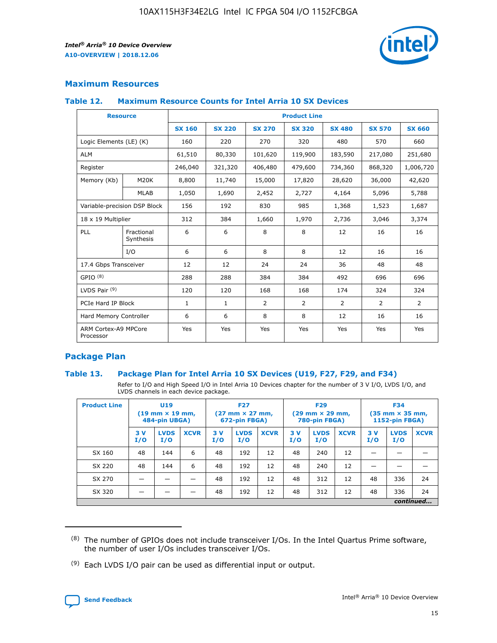

#### **Maximum Resources**

#### **Table 12. Maximum Resource Counts for Intel Arria 10 SX Devices**

| <b>Resource</b>                   |                         | <b>Product Line</b> |               |                |                |                |                |                |  |  |  |
|-----------------------------------|-------------------------|---------------------|---------------|----------------|----------------|----------------|----------------|----------------|--|--|--|
|                                   |                         | <b>SX 160</b>       | <b>SX 220</b> | <b>SX 270</b>  | <b>SX 320</b>  | <b>SX 480</b>  | <b>SX 570</b>  | <b>SX 660</b>  |  |  |  |
| Logic Elements (LE) (K)           |                         | 160                 | 220           | 270            | 320            | 480            | 570            | 660            |  |  |  |
| <b>ALM</b>                        |                         | 61,510              | 80,330        | 101,620        | 119,900        | 183,590        | 217,080        | 251,680        |  |  |  |
| Register                          |                         | 246,040             | 321,320       | 406,480        | 479,600        | 734,360        | 868,320        | 1,006,720      |  |  |  |
| Memory (Kb)                       | M <sub>20</sub> K       | 8,800               | 11,740        | 15,000         | 17,820         | 28,620         | 36,000         | 42,620         |  |  |  |
|                                   | <b>MLAB</b>             | 1,050               | 1,690         | 2,452          | 2,727          | 4,164          | 5,096          | 5,788          |  |  |  |
| Variable-precision DSP Block      |                         | 156                 | 192           | 830            | 985            | 1,368          | 1,523          | 1,687          |  |  |  |
| 18 x 19 Multiplier                |                         | 312                 | 384           | 1,660          | 1,970          | 2,736          | 3,046          | 3,374          |  |  |  |
| PLL                               | Fractional<br>Synthesis | 6                   | 6             | 8              | 8              | 12             | 16             | 16             |  |  |  |
|                                   | I/O                     | 6                   | 6             | 8              | 8              | 12             | 16             | 16             |  |  |  |
| 17.4 Gbps Transceiver             |                         | 12                  | 12            | 24             | 24             | 36             | 48             | 48             |  |  |  |
| GPIO <sup>(8)</sup>               |                         | 288                 | 288           | 384            | 384            | 492            | 696            | 696            |  |  |  |
| LVDS Pair $(9)$                   |                         | 120                 | 120           | 168            | 168            | 174            | 324            | 324            |  |  |  |
| PCIe Hard IP Block                |                         | $\mathbf{1}$        | $\mathbf{1}$  | $\overline{2}$ | $\overline{2}$ | $\overline{2}$ | $\overline{2}$ | $\overline{2}$ |  |  |  |
| Hard Memory Controller            |                         | 6                   | 6             | 8              | 8              | 12             | 16             | 16             |  |  |  |
| ARM Cortex-A9 MPCore<br>Processor |                         | Yes                 | Yes           | Yes            | Yes            | Yes            | Yes            | <b>Yes</b>     |  |  |  |

#### **Package Plan**

#### **Table 13. Package Plan for Intel Arria 10 SX Devices (U19, F27, F29, and F34)**

Refer to I/O and High Speed I/O in Intel Arria 10 Devices chapter for the number of 3 V I/O, LVDS I/O, and LVDS channels in each device package.

| <b>Product Line</b> | U19<br>$(19 \text{ mm} \times 19 \text{ mm})$<br>484-pin UBGA) |                    | <b>F27</b><br>$(27 \text{ mm} \times 27 \text{ mm})$<br>672-pin FBGA) |           | <b>F29</b><br>$(29 \text{ mm} \times 29 \text{ mm})$<br>780-pin FBGA) |             |            | <b>F34</b><br>$(35 \text{ mm} \times 35 \text{ mm})$<br><b>1152-pin FBGA)</b> |             |           |                    |             |
|---------------------|----------------------------------------------------------------|--------------------|-----------------------------------------------------------------------|-----------|-----------------------------------------------------------------------|-------------|------------|-------------------------------------------------------------------------------|-------------|-----------|--------------------|-------------|
|                     | 3V<br>I/O                                                      | <b>LVDS</b><br>I/O | <b>XCVR</b>                                                           | 3V<br>I/O | <b>LVDS</b><br>I/O                                                    | <b>XCVR</b> | 3 V<br>I/O | <b>LVDS</b><br>I/O                                                            | <b>XCVR</b> | 3V<br>I/O | <b>LVDS</b><br>I/O | <b>XCVR</b> |
| SX 160              | 48                                                             | 144                | 6                                                                     | 48        | 192                                                                   | 12          | 48         | 240                                                                           | 12          | –         |                    |             |
| SX 220              | 48                                                             | 144                | 6                                                                     | 48        | 192                                                                   | 12          | 48         | 240                                                                           | 12          |           |                    |             |
| SX 270              |                                                                |                    |                                                                       | 48        | 192                                                                   | 12          | 48         | 312                                                                           | 12          | 48        | 336                | 24          |
| SX 320              |                                                                |                    |                                                                       | 48        | 192                                                                   | 12          | 48         | 312                                                                           | 12          | 48        | 336                | 24          |
|                     | continued                                                      |                    |                                                                       |           |                                                                       |             |            |                                                                               |             |           |                    |             |

 $(8)$  The number of GPIOs does not include transceiver I/Os. In the Intel Quartus Prime software, the number of user I/Os includes transceiver I/Os.

 $(9)$  Each LVDS I/O pair can be used as differential input or output.

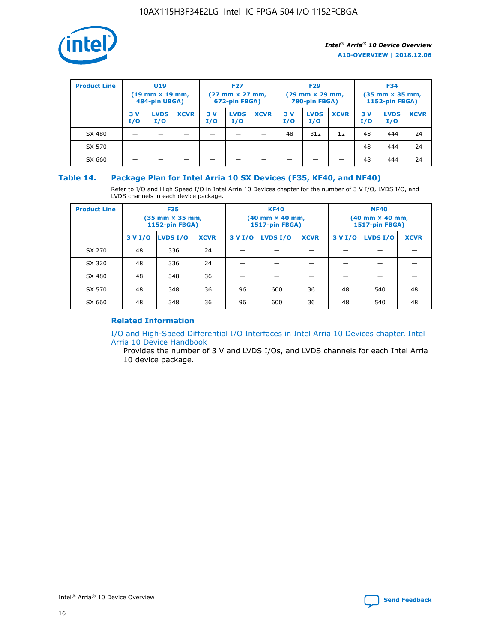

| <b>Product Line</b> |            | <b>U19</b><br>$(19 \text{ mm} \times 19 \text{ mm})$<br>484-pin UBGA) |             | <b>F27</b><br>$(27 \text{ mm} \times 27 \text{ mm})$<br>672-pin FBGA) |                    | <b>F29</b><br>$(29$ mm $\times$ 29 mm,<br>780-pin FBGA) |           |                    | <b>F34</b><br>$(35$ mm $\times$ 35 mm,<br><b>1152-pin FBGA)</b> |           |                    |             |
|---------------------|------------|-----------------------------------------------------------------------|-------------|-----------------------------------------------------------------------|--------------------|---------------------------------------------------------|-----------|--------------------|-----------------------------------------------------------------|-----------|--------------------|-------------|
|                     | 3 V<br>I/O | <b>LVDS</b><br>I/O                                                    | <b>XCVR</b> | 3V<br>I/O                                                             | <b>LVDS</b><br>I/O | <b>XCVR</b>                                             | 3V<br>I/O | <b>LVDS</b><br>I/O | <b>XCVR</b>                                                     | 3V<br>I/O | <b>LVDS</b><br>I/O | <b>XCVR</b> |
| SX 480              |            |                                                                       |             |                                                                       |                    |                                                         | 48        | 312                | 12                                                              | 48        | 444                | 24          |
| SX 570              |            |                                                                       |             |                                                                       |                    |                                                         |           |                    |                                                                 | 48        | 444                | 24          |
| SX 660              |            |                                                                       |             |                                                                       |                    |                                                         |           |                    |                                                                 | 48        | 444                | 24          |

#### **Table 14. Package Plan for Intel Arria 10 SX Devices (F35, KF40, and NF40)**

Refer to I/O and High Speed I/O in Intel Arria 10 Devices chapter for the number of 3 V I/O, LVDS I/O, and LVDS channels in each device package.

| <b>Product Line</b> | <b>F35</b><br>(35 mm × 35 mm,<br><b>1152-pin FBGA)</b> |          |             |                                           | <b>KF40</b><br>(40 mm × 40 mm,<br>1517-pin FBGA) |    | <b>NF40</b><br>$(40 \text{ mm} \times 40 \text{ mm})$<br>1517-pin FBGA) |          |             |  |
|---------------------|--------------------------------------------------------|----------|-------------|-------------------------------------------|--------------------------------------------------|----|-------------------------------------------------------------------------|----------|-------------|--|
|                     | 3 V I/O                                                | LVDS I/O | <b>XCVR</b> | <b>LVDS I/O</b><br>3 V I/O<br><b>XCVR</b> |                                                  |    | 3 V I/O                                                                 | LVDS I/O | <b>XCVR</b> |  |
| SX 270              | 48                                                     | 336      | 24          |                                           |                                                  |    |                                                                         |          |             |  |
| SX 320              | 48                                                     | 336      | 24          |                                           |                                                  |    |                                                                         |          |             |  |
| SX 480              | 48                                                     | 348      | 36          |                                           |                                                  |    |                                                                         |          |             |  |
| SX 570              | 48                                                     | 348      | 36          | 96                                        | 600                                              | 36 | 48                                                                      | 540      | 48          |  |
| SX 660              | 48                                                     | 348      | 36          | 96                                        | 600                                              | 36 | 48                                                                      | 540      | 48          |  |

#### **Related Information**

[I/O and High-Speed Differential I/O Interfaces in Intel Arria 10 Devices chapter, Intel](https://www.intel.com/content/www/us/en/programmable/documentation/sam1403482614086.html#sam1403482030321) [Arria 10 Device Handbook](https://www.intel.com/content/www/us/en/programmable/documentation/sam1403482614086.html#sam1403482030321)

Provides the number of 3 V and LVDS I/Os, and LVDS channels for each Intel Arria 10 device package.

Intel<sup>®</sup> Arria<sup>®</sup> 10 Device Overview **[Send Feedback](mailto:FPGAtechdocfeedback@intel.com?subject=Feedback%20on%20Intel%20Arria%2010%20Device%20Overview%20(A10-OVERVIEW%202018.12.06)&body=We%20appreciate%20your%20feedback.%20In%20your%20comments,%20also%20specify%20the%20page%20number%20or%20paragraph.%20Thank%20you.)** Send Feedback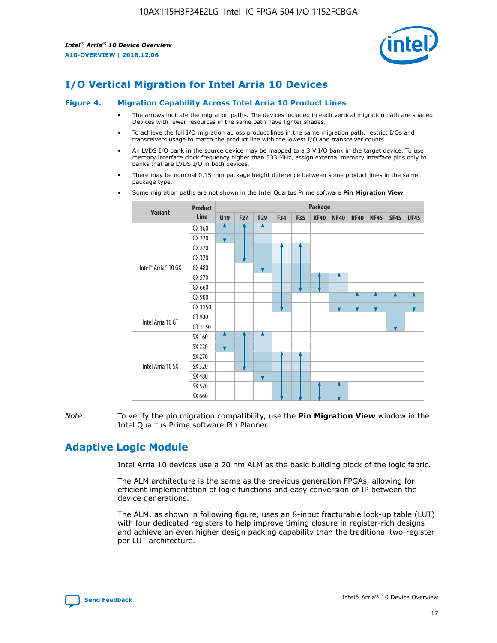

## **I/O Vertical Migration for Intel Arria 10 Devices**

#### **Figure 4. Migration Capability Across Intel Arria 10 Product Lines**

- The arrows indicate the migration paths. The devices included in each vertical migration path are shaded. Devices with fewer resources in the same path have lighter shades.
- To achieve the full I/O migration across product lines in the same migration path, restrict I/Os and transceivers usage to match the product line with the lowest I/O and transceiver counts.
- An LVDS I/O bank in the source device may be mapped to a 3 V I/O bank in the target device. To use memory interface clock frequency higher than 533 MHz, assign external memory interface pins only to banks that are LVDS I/O in both devices.
- There may be nominal 0.15 mm package height difference between some product lines in the same package type.
	- **Variant Product Line Package U19 F27 F29 F34 F35 KF40 NF40 RF40 NF45 SF45 UF45** Intel® Arria® 10 GX GX 160 GX 220 GX 270 GX 320 GX 480 GX 570 GX 660 GX 900 GX 1150 Intel Arria 10 GT GT 900 GT 1150 Intel Arria 10 SX SX 160 SX 220 SX 270 SX 320 SX 480 SX 570 SX 660
- Some migration paths are not shown in the Intel Quartus Prime software **Pin Migration View**.

*Note:* To verify the pin migration compatibility, use the **Pin Migration View** window in the Intel Quartus Prime software Pin Planner.

## **Adaptive Logic Module**

Intel Arria 10 devices use a 20 nm ALM as the basic building block of the logic fabric.

The ALM architecture is the same as the previous generation FPGAs, allowing for efficient implementation of logic functions and easy conversion of IP between the device generations.

The ALM, as shown in following figure, uses an 8-input fracturable look-up table (LUT) with four dedicated registers to help improve timing closure in register-rich designs and achieve an even higher design packing capability than the traditional two-register per LUT architecture.

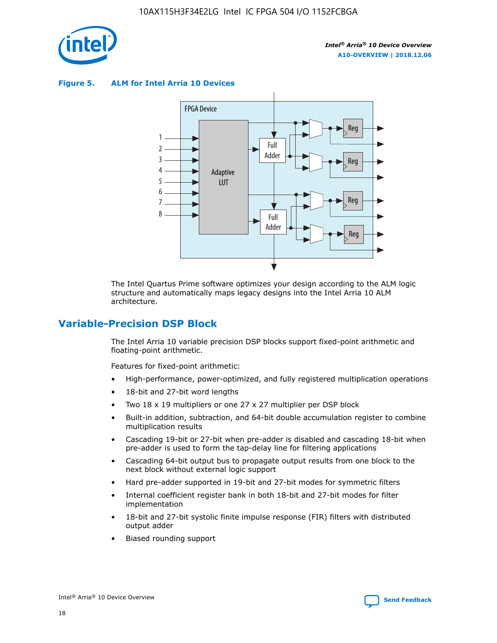

**Figure 5. ALM for Intel Arria 10 Devices**



The Intel Quartus Prime software optimizes your design according to the ALM logic structure and automatically maps legacy designs into the Intel Arria 10 ALM architecture.

## **Variable-Precision DSP Block**

The Intel Arria 10 variable precision DSP blocks support fixed-point arithmetic and floating-point arithmetic.

Features for fixed-point arithmetic:

- High-performance, power-optimized, and fully registered multiplication operations
- 18-bit and 27-bit word lengths
- Two 18 x 19 multipliers or one 27 x 27 multiplier per DSP block
- Built-in addition, subtraction, and 64-bit double accumulation register to combine multiplication results
- Cascading 19-bit or 27-bit when pre-adder is disabled and cascading 18-bit when pre-adder is used to form the tap-delay line for filtering applications
- Cascading 64-bit output bus to propagate output results from one block to the next block without external logic support
- Hard pre-adder supported in 19-bit and 27-bit modes for symmetric filters
- Internal coefficient register bank in both 18-bit and 27-bit modes for filter implementation
- 18-bit and 27-bit systolic finite impulse response (FIR) filters with distributed output adder
- Biased rounding support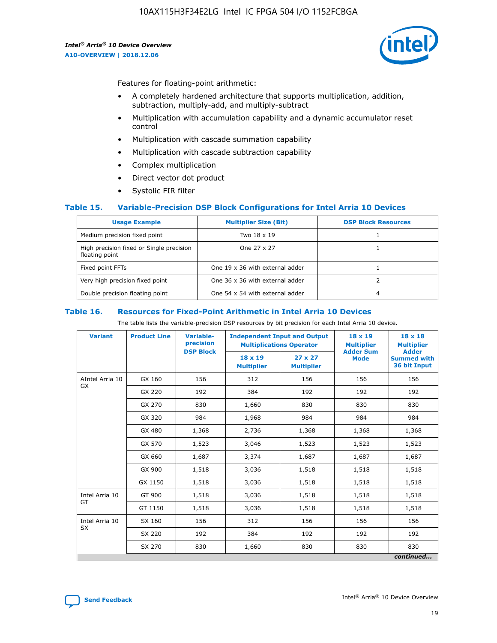

Features for floating-point arithmetic:

- A completely hardened architecture that supports multiplication, addition, subtraction, multiply-add, and multiply-subtract
- Multiplication with accumulation capability and a dynamic accumulator reset control
- Multiplication with cascade summation capability
- Multiplication with cascade subtraction capability
- Complex multiplication
- Direct vector dot product
- Systolic FIR filter

#### **Table 15. Variable-Precision DSP Block Configurations for Intel Arria 10 Devices**

| <b>Usage Example</b>                                       | <b>Multiplier Size (Bit)</b>    | <b>DSP Block Resources</b> |
|------------------------------------------------------------|---------------------------------|----------------------------|
| Medium precision fixed point                               | Two 18 x 19                     |                            |
| High precision fixed or Single precision<br>floating point | One 27 x 27                     |                            |
| Fixed point FFTs                                           | One 19 x 36 with external adder |                            |
| Very high precision fixed point                            | One 36 x 36 with external adder |                            |
| Double precision floating point                            | One 54 x 54 with external adder | 4                          |

#### **Table 16. Resources for Fixed-Point Arithmetic in Intel Arria 10 Devices**

The table lists the variable-precision DSP resources by bit precision for each Intel Arria 10 device.

| <b>Variant</b>  | <b>Product Line</b> | Variable-<br>precision<br><b>DSP Block</b> | <b>Independent Input and Output</b><br><b>Multiplications Operator</b> |                                     | 18 x 19<br><b>Multiplier</b><br><b>Adder Sum</b> | $18 \times 18$<br><b>Multiplier</b><br><b>Adder</b> |
|-----------------|---------------------|--------------------------------------------|------------------------------------------------------------------------|-------------------------------------|--------------------------------------------------|-----------------------------------------------------|
|                 |                     |                                            | 18 x 19<br><b>Multiplier</b>                                           | $27 \times 27$<br><b>Multiplier</b> | <b>Mode</b>                                      | <b>Summed with</b><br>36 bit Input                  |
| AIntel Arria 10 | GX 160              | 156                                        | 312                                                                    | 156                                 | 156                                              | 156                                                 |
| GX              | GX 220              | 192                                        | 384                                                                    | 192                                 | 192                                              | 192                                                 |
|                 | GX 270              | 830                                        | 1,660                                                                  | 830                                 | 830                                              | 830                                                 |
|                 | GX 320              | 984                                        | 1,968                                                                  | 984                                 | 984                                              | 984                                                 |
|                 | GX 480              | 1,368                                      | 2,736                                                                  | 1,368                               | 1,368                                            | 1,368                                               |
|                 | GX 570              | 1,523                                      | 3,046                                                                  | 1,523                               | 1,523                                            | 1,523                                               |
|                 | GX 660              | 1,687                                      | 3,374                                                                  | 1,687                               | 1,687                                            | 1,687                                               |
|                 | GX 900              | 1,518                                      | 3,036                                                                  | 1,518                               | 1,518                                            | 1,518                                               |
|                 | GX 1150             | 1,518                                      | 3,036                                                                  | 1,518                               | 1,518                                            | 1,518                                               |
| Intel Arria 10  | GT 900              | 1,518                                      | 3,036                                                                  | 1,518                               | 1,518                                            | 1,518                                               |
| GT              | GT 1150             | 1,518                                      | 3,036                                                                  | 1,518                               | 1,518                                            | 1,518                                               |
| Intel Arria 10  | SX 160              | 156                                        | 312                                                                    | 156                                 | 156                                              | 156                                                 |
| <b>SX</b>       | SX 220              | 192                                        | 384                                                                    | 192                                 | 192                                              | 192                                                 |
|                 | SX 270              | 830                                        | 1,660                                                                  | 830                                 | 830                                              | 830                                                 |
|                 |                     |                                            |                                                                        |                                     |                                                  | continued                                           |

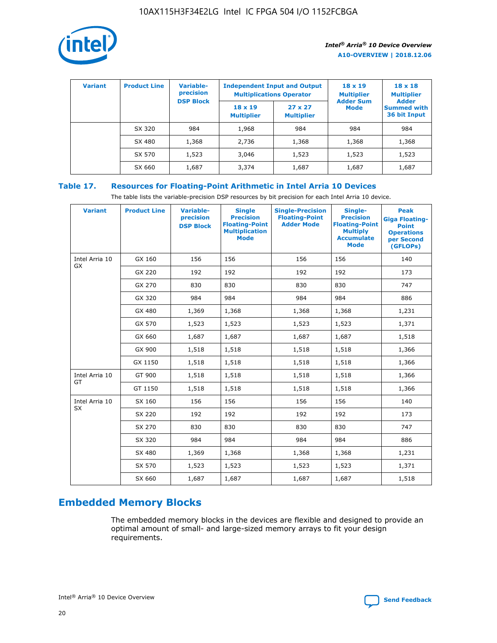

| <b>Variant</b> | <b>Product Line</b> | Variable-<br>precision | <b>Independent Input and Output</b><br><b>Multiplications Operator</b> |                                     | $18 \times 19$<br><b>Multiplier</b> | $18 \times 18$<br><b>Multiplier</b><br><b>Adder</b> |  |
|----------------|---------------------|------------------------|------------------------------------------------------------------------|-------------------------------------|-------------------------------------|-----------------------------------------------------|--|
|                |                     | <b>DSP Block</b>       | $18 \times 19$<br><b>Multiplier</b>                                    | $27 \times 27$<br><b>Multiplier</b> | <b>Adder Sum</b><br><b>Mode</b>     | <b>Summed with</b><br>36 bit Input                  |  |
|                | SX 320              | 984                    | 1,968                                                                  | 984                                 | 984                                 | 984                                                 |  |
|                | SX 480              | 1,368                  | 2,736                                                                  | 1,368                               | 1,368                               | 1,368                                               |  |
|                | SX 570              | 1,523                  | 3,046                                                                  | 1,523                               | 1,523                               | 1,523                                               |  |
|                | SX 660              | 1,687                  | 3,374                                                                  | 1,687                               | 1,687                               | 1,687                                               |  |

## **Table 17. Resources for Floating-Point Arithmetic in Intel Arria 10 Devices**

The table lists the variable-precision DSP resources by bit precision for each Intel Arria 10 device.

| <b>Variant</b> | <b>Product Line</b> | <b>Variable-</b><br>precision<br><b>DSP Block</b> | <b>Single</b><br><b>Precision</b><br><b>Floating-Point</b><br><b>Multiplication</b><br><b>Mode</b> | <b>Single-Precision</b><br><b>Floating-Point</b><br><b>Adder Mode</b> | Single-<br><b>Precision</b><br><b>Floating-Point</b><br><b>Multiply</b><br><b>Accumulate</b><br><b>Mode</b> | <b>Peak</b><br><b>Giga Floating-</b><br><b>Point</b><br><b>Operations</b><br>per Second<br>(GFLOPs) |
|----------------|---------------------|---------------------------------------------------|----------------------------------------------------------------------------------------------------|-----------------------------------------------------------------------|-------------------------------------------------------------------------------------------------------------|-----------------------------------------------------------------------------------------------------|
| Intel Arria 10 | GX 160              | 156                                               | 156                                                                                                | 156                                                                   | 156                                                                                                         | 140                                                                                                 |
| GX             | GX 220              | 192                                               | 192                                                                                                | 192                                                                   | 192                                                                                                         | 173                                                                                                 |
|                | GX 270              | 830                                               | 830                                                                                                | 830                                                                   | 830                                                                                                         | 747                                                                                                 |
|                | GX 320              | 984                                               | 984                                                                                                | 984                                                                   | 984                                                                                                         | 886                                                                                                 |
|                | GX 480              | 1,369                                             | 1,368                                                                                              | 1,368                                                                 | 1,368                                                                                                       | 1,231                                                                                               |
|                | GX 570              | 1,523                                             | 1,523                                                                                              | 1,523                                                                 | 1,523                                                                                                       | 1,371                                                                                               |
|                | GX 660              | 1,687                                             | 1,687                                                                                              | 1,687                                                                 | 1,687                                                                                                       | 1,518                                                                                               |
|                | GX 900              | 1,518                                             | 1,518                                                                                              | 1,518                                                                 | 1,518                                                                                                       | 1,366                                                                                               |
|                | GX 1150             | 1,518                                             | 1,518                                                                                              | 1,518                                                                 | 1,518                                                                                                       | 1,366                                                                                               |
| Intel Arria 10 | GT 900              | 1,518                                             | 1,518                                                                                              | 1,518                                                                 | 1,518                                                                                                       | 1,366                                                                                               |
| GT             | GT 1150             | 1,518                                             | 1,518                                                                                              | 1,518                                                                 | 1,518                                                                                                       | 1,366                                                                                               |
| Intel Arria 10 | SX 160              | 156                                               | 156                                                                                                | 156                                                                   | 156                                                                                                         | 140                                                                                                 |
| SX             | SX 220              | 192                                               | 192                                                                                                | 192                                                                   | 192                                                                                                         | 173                                                                                                 |
|                | SX 270              | 830                                               | 830                                                                                                | 830                                                                   | 830                                                                                                         | 747                                                                                                 |
|                | SX 320              | 984                                               | 984                                                                                                | 984                                                                   | 984                                                                                                         | 886                                                                                                 |
|                | SX 480              | 1,369                                             | 1,368                                                                                              | 1,368                                                                 | 1,368                                                                                                       | 1,231                                                                                               |
|                | SX 570              | 1,523                                             | 1,523                                                                                              | 1,523                                                                 | 1,523                                                                                                       | 1,371                                                                                               |
|                | SX 660              | 1,687                                             | 1,687                                                                                              | 1,687                                                                 | 1,687                                                                                                       | 1,518                                                                                               |

## **Embedded Memory Blocks**

The embedded memory blocks in the devices are flexible and designed to provide an optimal amount of small- and large-sized memory arrays to fit your design requirements.

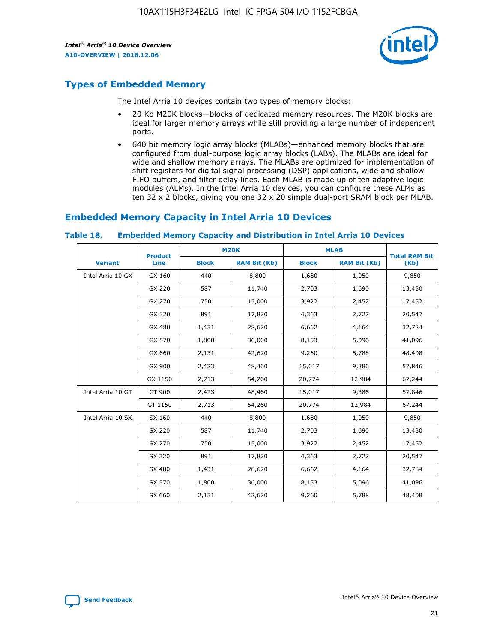

## **Types of Embedded Memory**

The Intel Arria 10 devices contain two types of memory blocks:

- 20 Kb M20K blocks—blocks of dedicated memory resources. The M20K blocks are ideal for larger memory arrays while still providing a large number of independent ports.
- 640 bit memory logic array blocks (MLABs)—enhanced memory blocks that are configured from dual-purpose logic array blocks (LABs). The MLABs are ideal for wide and shallow memory arrays. The MLABs are optimized for implementation of shift registers for digital signal processing (DSP) applications, wide and shallow FIFO buffers, and filter delay lines. Each MLAB is made up of ten adaptive logic modules (ALMs). In the Intel Arria 10 devices, you can configure these ALMs as ten 32 x 2 blocks, giving you one 32 x 20 simple dual-port SRAM block per MLAB.

## **Embedded Memory Capacity in Intel Arria 10 Devices**

|                   | <b>Product</b> |              | <b>M20K</b>         | <b>MLAB</b>  |                     | <b>Total RAM Bit</b> |
|-------------------|----------------|--------------|---------------------|--------------|---------------------|----------------------|
| <b>Variant</b>    | <b>Line</b>    | <b>Block</b> | <b>RAM Bit (Kb)</b> | <b>Block</b> | <b>RAM Bit (Kb)</b> | (Kb)                 |
| Intel Arria 10 GX | GX 160         | 440          | 8,800               | 1,680        | 1,050               | 9,850                |
|                   | GX 220         | 587          | 11,740              | 2,703        | 1,690               | 13,430               |
|                   | GX 270         | 750          | 15,000              | 3,922        | 2,452               | 17,452               |
|                   | GX 320         | 891          | 17,820              | 4,363        | 2,727               | 20,547               |
|                   | GX 480         | 1,431        | 28,620              | 6,662        | 4,164               | 32,784               |
|                   | GX 570         | 1,800        | 36,000              | 8,153        | 5,096               | 41,096               |
|                   | GX 660         | 2,131        | 42,620              | 9,260        | 5,788               | 48,408               |
|                   | GX 900         | 2,423        | 48,460              | 15,017       | 9,386               | 57,846               |
|                   | GX 1150        | 2,713        | 54,260              | 20,774       | 12,984              | 67,244               |
| Intel Arria 10 GT | GT 900         | 2,423        | 48,460              | 15,017       | 9,386               | 57,846               |
|                   | GT 1150        | 2,713        | 54,260              | 20,774       | 12,984              | 67,244               |
| Intel Arria 10 SX | SX 160         | 440          | 8,800               | 1,680        | 1,050               | 9,850                |
|                   | SX 220         | 587          | 11,740              | 2,703        | 1,690               | 13,430               |
|                   | SX 270         | 750          | 15,000              | 3,922        | 2,452               | 17,452               |
|                   | SX 320         | 891          | 17,820              | 4,363        | 2,727               | 20,547               |
|                   | SX 480         | 1,431        | 28,620              | 6,662        | 4,164               | 32,784               |
|                   | SX 570         | 1,800        | 36,000              | 8,153        | 5,096               | 41,096               |
|                   | SX 660         | 2,131        | 42,620              | 9,260        | 5,788               | 48,408               |

#### **Table 18. Embedded Memory Capacity and Distribution in Intel Arria 10 Devices**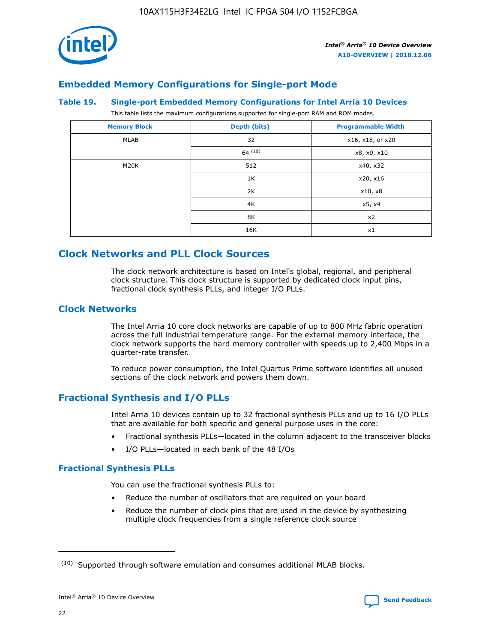

## **Embedded Memory Configurations for Single-port Mode**

#### **Table 19. Single-port Embedded Memory Configurations for Intel Arria 10 Devices**

This table lists the maximum configurations supported for single-port RAM and ROM modes.

| <b>Memory Block</b> | Depth (bits)           | <b>Programmable Width</b> |
|---------------------|------------------------|---------------------------|
| MLAB                | 32<br>x16, x18, or x20 |                           |
|                     | 64(10)                 | x8, x9, x10               |
| M20K                | 512                    | x40, x32                  |
|                     | 1K                     | x20, x16                  |
|                     | 2K                     | x10, x8                   |
|                     | 4K                     | x5, x4                    |
|                     | 8K                     | x2                        |
|                     | 16K                    | x1                        |

## **Clock Networks and PLL Clock Sources**

The clock network architecture is based on Intel's global, regional, and peripheral clock structure. This clock structure is supported by dedicated clock input pins, fractional clock synthesis PLLs, and integer I/O PLLs.

#### **Clock Networks**

The Intel Arria 10 core clock networks are capable of up to 800 MHz fabric operation across the full industrial temperature range. For the external memory interface, the clock network supports the hard memory controller with speeds up to 2,400 Mbps in a quarter-rate transfer.

To reduce power consumption, the Intel Quartus Prime software identifies all unused sections of the clock network and powers them down.

#### **Fractional Synthesis and I/O PLLs**

Intel Arria 10 devices contain up to 32 fractional synthesis PLLs and up to 16 I/O PLLs that are available for both specific and general purpose uses in the core:

- Fractional synthesis PLLs—located in the column adjacent to the transceiver blocks
- I/O PLLs—located in each bank of the 48 I/Os

#### **Fractional Synthesis PLLs**

You can use the fractional synthesis PLLs to:

- Reduce the number of oscillators that are required on your board
- Reduce the number of clock pins that are used in the device by synthesizing multiple clock frequencies from a single reference clock source

<sup>(10)</sup> Supported through software emulation and consumes additional MLAB blocks.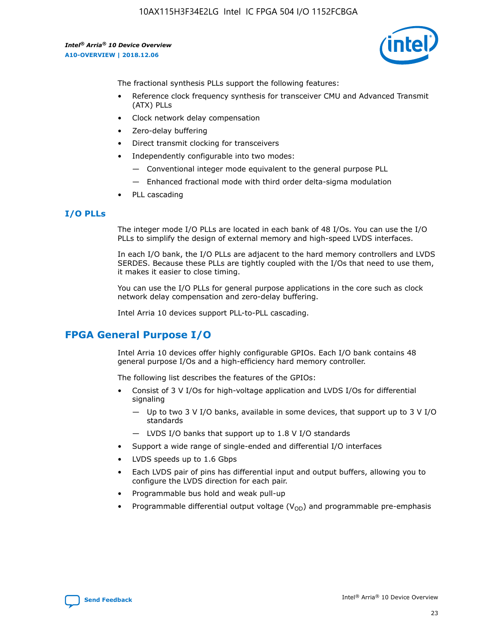10AX115H3F34E2LG Intel IC FPGA 504 I/O 1152FCBGA

*Intel® Arria® 10 Device Overview* **A10-OVERVIEW | 2018.12.06**



The fractional synthesis PLLs support the following features:

- Reference clock frequency synthesis for transceiver CMU and Advanced Transmit (ATX) PLLs
- Clock network delay compensation
- Zero-delay buffering
- Direct transmit clocking for transceivers
- Independently configurable into two modes:
	- Conventional integer mode equivalent to the general purpose PLL
	- Enhanced fractional mode with third order delta-sigma modulation
- PLL cascading

#### **I/O PLLs**

The integer mode I/O PLLs are located in each bank of 48 I/Os. You can use the I/O PLLs to simplify the design of external memory and high-speed LVDS interfaces.

In each I/O bank, the I/O PLLs are adjacent to the hard memory controllers and LVDS SERDES. Because these PLLs are tightly coupled with the I/Os that need to use them, it makes it easier to close timing.

You can use the I/O PLLs for general purpose applications in the core such as clock network delay compensation and zero-delay buffering.

Intel Arria 10 devices support PLL-to-PLL cascading.

## **FPGA General Purpose I/O**

Intel Arria 10 devices offer highly configurable GPIOs. Each I/O bank contains 48 general purpose I/Os and a high-efficiency hard memory controller.

The following list describes the features of the GPIOs:

- Consist of 3 V I/Os for high-voltage application and LVDS I/Os for differential signaling
	- Up to two 3 V I/O banks, available in some devices, that support up to 3 V I/O standards
	- LVDS I/O banks that support up to 1.8 V I/O standards
- Support a wide range of single-ended and differential I/O interfaces
- LVDS speeds up to 1.6 Gbps
- Each LVDS pair of pins has differential input and output buffers, allowing you to configure the LVDS direction for each pair.
- Programmable bus hold and weak pull-up
- Programmable differential output voltage  $(V_{OD})$  and programmable pre-emphasis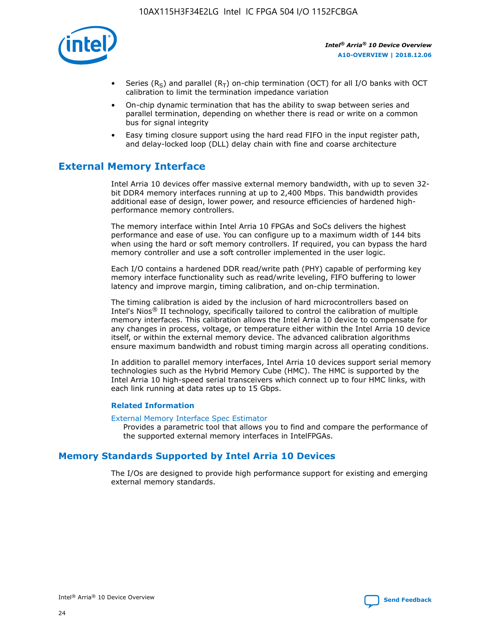

- Series (R<sub>S</sub>) and parallel (R<sub>T</sub>) on-chip termination (OCT) for all I/O banks with OCT calibration to limit the termination impedance variation
- On-chip dynamic termination that has the ability to swap between series and parallel termination, depending on whether there is read or write on a common bus for signal integrity
- Easy timing closure support using the hard read FIFO in the input register path, and delay-locked loop (DLL) delay chain with fine and coarse architecture

## **External Memory Interface**

Intel Arria 10 devices offer massive external memory bandwidth, with up to seven 32 bit DDR4 memory interfaces running at up to 2,400 Mbps. This bandwidth provides additional ease of design, lower power, and resource efficiencies of hardened highperformance memory controllers.

The memory interface within Intel Arria 10 FPGAs and SoCs delivers the highest performance and ease of use. You can configure up to a maximum width of 144 bits when using the hard or soft memory controllers. If required, you can bypass the hard memory controller and use a soft controller implemented in the user logic.

Each I/O contains a hardened DDR read/write path (PHY) capable of performing key memory interface functionality such as read/write leveling, FIFO buffering to lower latency and improve margin, timing calibration, and on-chip termination.

The timing calibration is aided by the inclusion of hard microcontrollers based on Intel's Nios® II technology, specifically tailored to control the calibration of multiple memory interfaces. This calibration allows the Intel Arria 10 device to compensate for any changes in process, voltage, or temperature either within the Intel Arria 10 device itself, or within the external memory device. The advanced calibration algorithms ensure maximum bandwidth and robust timing margin across all operating conditions.

In addition to parallel memory interfaces, Intel Arria 10 devices support serial memory technologies such as the Hybrid Memory Cube (HMC). The HMC is supported by the Intel Arria 10 high-speed serial transceivers which connect up to four HMC links, with each link running at data rates up to 15 Gbps.

#### **Related Information**

#### [External Memory Interface Spec Estimator](http://www.altera.com/technology/memory/estimator/mem-emif-index.html)

Provides a parametric tool that allows you to find and compare the performance of the supported external memory interfaces in IntelFPGAs.

## **Memory Standards Supported by Intel Arria 10 Devices**

The I/Os are designed to provide high performance support for existing and emerging external memory standards.

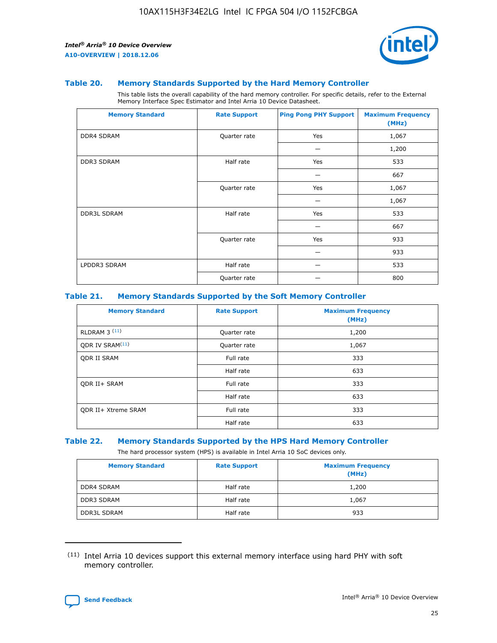

#### **Table 20. Memory Standards Supported by the Hard Memory Controller**

This table lists the overall capability of the hard memory controller. For specific details, refer to the External Memory Interface Spec Estimator and Intel Arria 10 Device Datasheet.

| <b>Memory Standard</b> | <b>Rate Support</b> | <b>Ping Pong PHY Support</b> | <b>Maximum Frequency</b><br>(MHz) |
|------------------------|---------------------|------------------------------|-----------------------------------|
| <b>DDR4 SDRAM</b>      | Quarter rate        | Yes                          | 1,067                             |
|                        |                     |                              | 1,200                             |
| DDR3 SDRAM             | Half rate           | Yes                          | 533                               |
|                        |                     |                              | 667                               |
|                        | Quarter rate        | Yes                          | 1,067                             |
|                        |                     |                              | 1,067                             |
| <b>DDR3L SDRAM</b>     | Half rate           | Yes                          | 533                               |
|                        |                     |                              | 667                               |
|                        | Quarter rate        | Yes                          | 933                               |
|                        |                     |                              | 933                               |
| LPDDR3 SDRAM           | Half rate           |                              | 533                               |
|                        | Quarter rate        |                              | 800                               |

#### **Table 21. Memory Standards Supported by the Soft Memory Controller**

| <b>Memory Standard</b>      | <b>Rate Support</b> | <b>Maximum Frequency</b><br>(MHz) |
|-----------------------------|---------------------|-----------------------------------|
| <b>RLDRAM 3 (11)</b>        | Quarter rate        | 1,200                             |
| ODR IV SRAM <sup>(11)</sup> | Quarter rate        | 1,067                             |
| <b>ODR II SRAM</b>          | Full rate           | 333                               |
|                             | Half rate           | 633                               |
| <b>ODR II+ SRAM</b>         | Full rate           | 333                               |
|                             | Half rate           | 633                               |
| <b>ODR II+ Xtreme SRAM</b>  | Full rate           | 333                               |
|                             | Half rate           | 633                               |

#### **Table 22. Memory Standards Supported by the HPS Hard Memory Controller**

The hard processor system (HPS) is available in Intel Arria 10 SoC devices only.

| <b>Memory Standard</b> | <b>Rate Support</b> | <b>Maximum Frequency</b><br>(MHz) |
|------------------------|---------------------|-----------------------------------|
| <b>DDR4 SDRAM</b>      | Half rate           | 1,200                             |
| <b>DDR3 SDRAM</b>      | Half rate           | 1,067                             |
| <b>DDR3L SDRAM</b>     | Half rate           | 933                               |

<sup>(11)</sup> Intel Arria 10 devices support this external memory interface using hard PHY with soft memory controller.

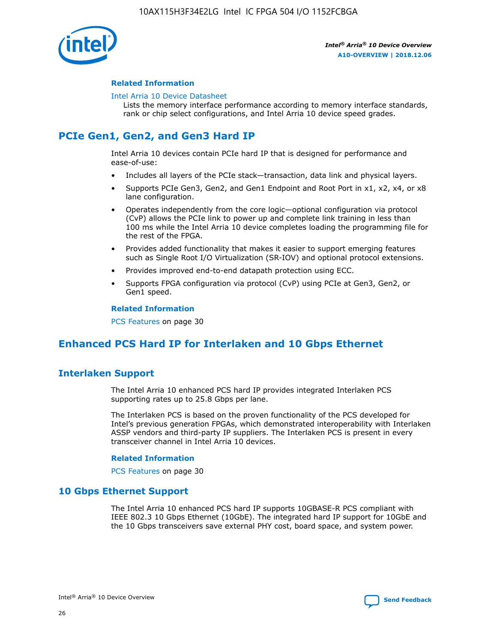

#### **Related Information**

#### [Intel Arria 10 Device Datasheet](https://www.intel.com/content/www/us/en/programmable/documentation/mcn1413182292568.html#mcn1413182153340)

Lists the memory interface performance according to memory interface standards, rank or chip select configurations, and Intel Arria 10 device speed grades.

## **PCIe Gen1, Gen2, and Gen3 Hard IP**

Intel Arria 10 devices contain PCIe hard IP that is designed for performance and ease-of-use:

- Includes all layers of the PCIe stack—transaction, data link and physical layers.
- Supports PCIe Gen3, Gen2, and Gen1 Endpoint and Root Port in x1, x2, x4, or x8 lane configuration.
- Operates independently from the core logic—optional configuration via protocol (CvP) allows the PCIe link to power up and complete link training in less than 100 ms while the Intel Arria 10 device completes loading the programming file for the rest of the FPGA.
- Provides added functionality that makes it easier to support emerging features such as Single Root I/O Virtualization (SR-IOV) and optional protocol extensions.
- Provides improved end-to-end datapath protection using ECC.
- Supports FPGA configuration via protocol (CvP) using PCIe at Gen3, Gen2, or Gen1 speed.

#### **Related Information**

PCS Features on page 30

## **Enhanced PCS Hard IP for Interlaken and 10 Gbps Ethernet**

## **Interlaken Support**

The Intel Arria 10 enhanced PCS hard IP provides integrated Interlaken PCS supporting rates up to 25.8 Gbps per lane.

The Interlaken PCS is based on the proven functionality of the PCS developed for Intel's previous generation FPGAs, which demonstrated interoperability with Interlaken ASSP vendors and third-party IP suppliers. The Interlaken PCS is present in every transceiver channel in Intel Arria 10 devices.

#### **Related Information**

PCS Features on page 30

#### **10 Gbps Ethernet Support**

The Intel Arria 10 enhanced PCS hard IP supports 10GBASE-R PCS compliant with IEEE 802.3 10 Gbps Ethernet (10GbE). The integrated hard IP support for 10GbE and the 10 Gbps transceivers save external PHY cost, board space, and system power.

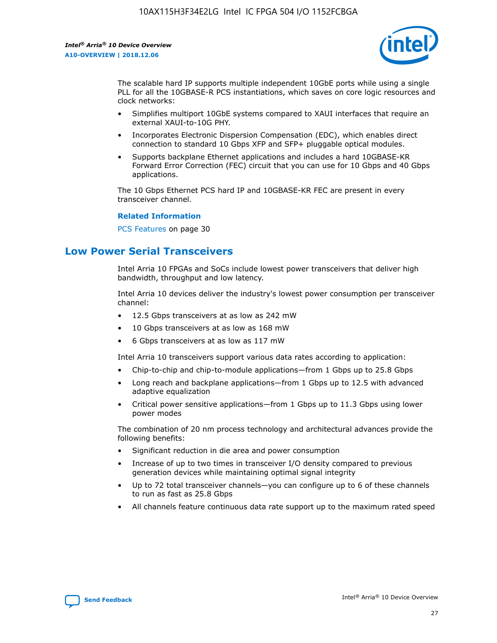

The scalable hard IP supports multiple independent 10GbE ports while using a single PLL for all the 10GBASE-R PCS instantiations, which saves on core logic resources and clock networks:

- Simplifies multiport 10GbE systems compared to XAUI interfaces that require an external XAUI-to-10G PHY.
- Incorporates Electronic Dispersion Compensation (EDC), which enables direct connection to standard 10 Gbps XFP and SFP+ pluggable optical modules.
- Supports backplane Ethernet applications and includes a hard 10GBASE-KR Forward Error Correction (FEC) circuit that you can use for 10 Gbps and 40 Gbps applications.

The 10 Gbps Ethernet PCS hard IP and 10GBASE-KR FEC are present in every transceiver channel.

#### **Related Information**

PCS Features on page 30

## **Low Power Serial Transceivers**

Intel Arria 10 FPGAs and SoCs include lowest power transceivers that deliver high bandwidth, throughput and low latency.

Intel Arria 10 devices deliver the industry's lowest power consumption per transceiver channel:

- 12.5 Gbps transceivers at as low as 242 mW
- 10 Gbps transceivers at as low as 168 mW
- 6 Gbps transceivers at as low as 117 mW

Intel Arria 10 transceivers support various data rates according to application:

- Chip-to-chip and chip-to-module applications—from 1 Gbps up to 25.8 Gbps
- Long reach and backplane applications—from 1 Gbps up to 12.5 with advanced adaptive equalization
- Critical power sensitive applications—from 1 Gbps up to 11.3 Gbps using lower power modes

The combination of 20 nm process technology and architectural advances provide the following benefits:

- Significant reduction in die area and power consumption
- Increase of up to two times in transceiver I/O density compared to previous generation devices while maintaining optimal signal integrity
- Up to 72 total transceiver channels—you can configure up to 6 of these channels to run as fast as 25.8 Gbps
- All channels feature continuous data rate support up to the maximum rated speed

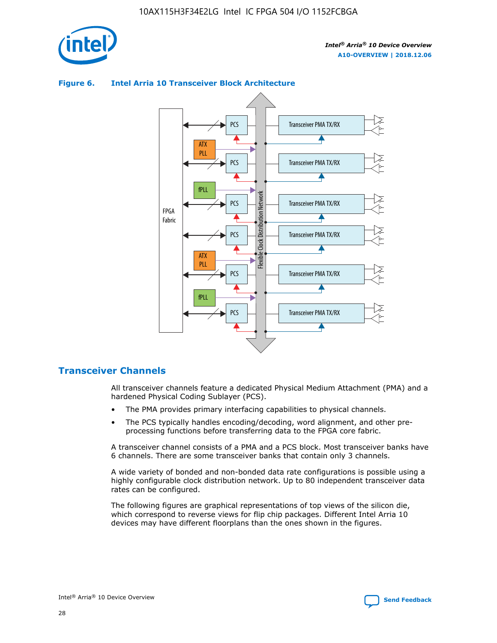



#### **Figure 6. Intel Arria 10 Transceiver Block Architecture**

#### **Transceiver Channels**

All transceiver channels feature a dedicated Physical Medium Attachment (PMA) and a hardened Physical Coding Sublayer (PCS).

- The PMA provides primary interfacing capabilities to physical channels.
- The PCS typically handles encoding/decoding, word alignment, and other preprocessing functions before transferring data to the FPGA core fabric.

A transceiver channel consists of a PMA and a PCS block. Most transceiver banks have 6 channels. There are some transceiver banks that contain only 3 channels.

A wide variety of bonded and non-bonded data rate configurations is possible using a highly configurable clock distribution network. Up to 80 independent transceiver data rates can be configured.

The following figures are graphical representations of top views of the silicon die, which correspond to reverse views for flip chip packages. Different Intel Arria 10 devices may have different floorplans than the ones shown in the figures.

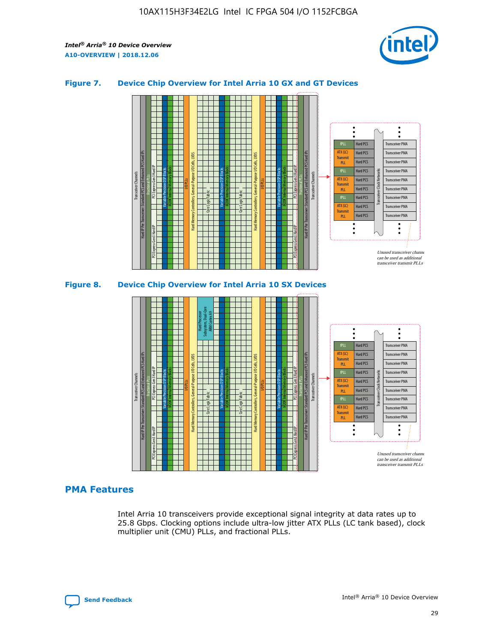

#### **Figure 7. Device Chip Overview for Intel Arria 10 GX and GT Devices**



#### **PMA Features**

Intel Arria 10 transceivers provide exceptional signal integrity at data rates up to 25.8 Gbps. Clocking options include ultra-low jitter ATX PLLs (LC tank based), clock multiplier unit (CMU) PLLs, and fractional PLLs.

Hard PCS Hard PCS Hard PCS Hard PCS Hard PCS

ATX (LC) Transmi PLL fPLL ATX (LC) **Transmit** PLL

Transceiver PMA Transceiver PMA Transceiver PMA

Transceiver Clock Networks

Transceiver PMA Transceiver PMA

Unused transceiver chann can be used as additional transceiver transmit PLLs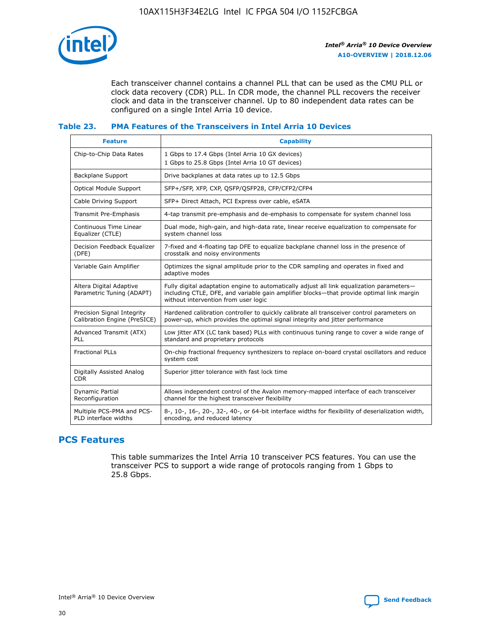

Each transceiver channel contains a channel PLL that can be used as the CMU PLL or clock data recovery (CDR) PLL. In CDR mode, the channel PLL recovers the receiver clock and data in the transceiver channel. Up to 80 independent data rates can be configured on a single Intel Arria 10 device.

#### **Table 23. PMA Features of the Transceivers in Intel Arria 10 Devices**

| <b>Feature</b>                                             | <b>Capability</b>                                                                                                                                                                                                             |
|------------------------------------------------------------|-------------------------------------------------------------------------------------------------------------------------------------------------------------------------------------------------------------------------------|
| Chip-to-Chip Data Rates                                    | 1 Gbps to 17.4 Gbps (Intel Arria 10 GX devices)<br>1 Gbps to 25.8 Gbps (Intel Arria 10 GT devices)                                                                                                                            |
| <b>Backplane Support</b>                                   | Drive backplanes at data rates up to 12.5 Gbps                                                                                                                                                                                |
| <b>Optical Module Support</b>                              | SFP+/SFP, XFP, CXP, QSFP/QSFP28, CFP/CFP2/CFP4                                                                                                                                                                                |
| Cable Driving Support                                      | SFP+ Direct Attach, PCI Express over cable, eSATA                                                                                                                                                                             |
| Transmit Pre-Emphasis                                      | 4-tap transmit pre-emphasis and de-emphasis to compensate for system channel loss                                                                                                                                             |
| Continuous Time Linear<br>Equalizer (CTLE)                 | Dual mode, high-gain, and high-data rate, linear receive equalization to compensate for<br>system channel loss                                                                                                                |
| Decision Feedback Equalizer<br>(DFE)                       | 7-fixed and 4-floating tap DFE to equalize backplane channel loss in the presence of<br>crosstalk and noisy environments                                                                                                      |
| Variable Gain Amplifier                                    | Optimizes the signal amplitude prior to the CDR sampling and operates in fixed and<br>adaptive modes                                                                                                                          |
| Altera Digital Adaptive<br>Parametric Tuning (ADAPT)       | Fully digital adaptation engine to automatically adjust all link equalization parameters-<br>including CTLE, DFE, and variable gain amplifier blocks—that provide optimal link margin<br>without intervention from user logic |
| Precision Signal Integrity<br>Calibration Engine (PreSICE) | Hardened calibration controller to quickly calibrate all transceiver control parameters on<br>power-up, which provides the optimal signal integrity and jitter performance                                                    |
| Advanced Transmit (ATX)<br><b>PLL</b>                      | Low jitter ATX (LC tank based) PLLs with continuous tuning range to cover a wide range of<br>standard and proprietary protocols                                                                                               |
| <b>Fractional PLLs</b>                                     | On-chip fractional frequency synthesizers to replace on-board crystal oscillators and reduce<br>system cost                                                                                                                   |
| Digitally Assisted Analog<br><b>CDR</b>                    | Superior jitter tolerance with fast lock time                                                                                                                                                                                 |
| Dynamic Partial<br>Reconfiguration                         | Allows independent control of the Avalon memory-mapped interface of each transceiver<br>channel for the highest transceiver flexibility                                                                                       |
| Multiple PCS-PMA and PCS-<br>PLD interface widths          | 8-, 10-, 16-, 20-, 32-, 40-, or 64-bit interface widths for flexibility of deserialization width,<br>encoding, and reduced latency                                                                                            |

## **PCS Features**

This table summarizes the Intel Arria 10 transceiver PCS features. You can use the transceiver PCS to support a wide range of protocols ranging from 1 Gbps to 25.8 Gbps.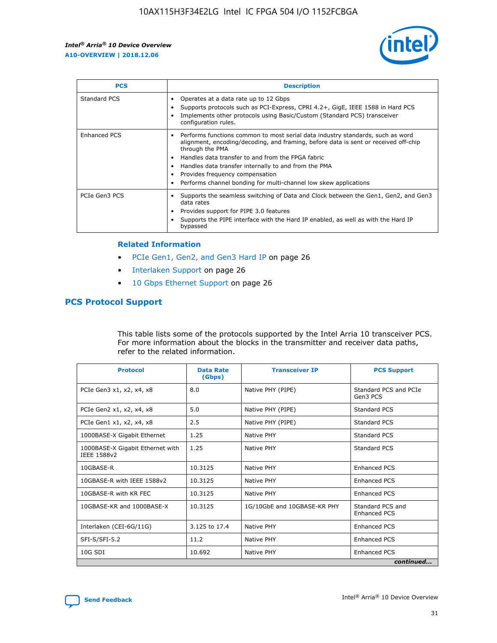

| <b>PCS</b>    | <b>Description</b>                                                                                                                                                                                                                                                                                                                                                                                                          |
|---------------|-----------------------------------------------------------------------------------------------------------------------------------------------------------------------------------------------------------------------------------------------------------------------------------------------------------------------------------------------------------------------------------------------------------------------------|
| Standard PCS  | Operates at a data rate up to 12 Gbps<br>Supports protocols such as PCI-Express, CPRI 4.2+, GigE, IEEE 1588 in Hard PCS<br>Implements other protocols using Basic/Custom (Standard PCS) transceiver<br>configuration rules.                                                                                                                                                                                                 |
| Enhanced PCS  | Performs functions common to most serial data industry standards, such as word<br>$\bullet$<br>alignment, encoding/decoding, and framing, before data is sent or received off-chip<br>through the PMA<br>• Handles data transfer to and from the FPGA fabric<br>Handles data transfer internally to and from the PMA<br>Provides frequency compensation<br>Performs channel bonding for multi-channel low skew applications |
| PCIe Gen3 PCS | Supports the seamless switching of Data and Clock between the Gen1, Gen2, and Gen3<br>data rates<br>Provides support for PIPE 3.0 features<br>Supports the PIPE interface with the Hard IP enabled, as well as with the Hard IP<br>bypassed                                                                                                                                                                                 |

#### **Related Information**

- PCIe Gen1, Gen2, and Gen3 Hard IP on page 26
- Interlaken Support on page 26
- 10 Gbps Ethernet Support on page 26

#### **PCS Protocol Support**

This table lists some of the protocols supported by the Intel Arria 10 transceiver PCS. For more information about the blocks in the transmitter and receiver data paths, refer to the related information.

| <b>Protocol</b>                                 | <b>Data Rate</b><br>(Gbps) | <b>Transceiver IP</b>       | <b>PCS Support</b>                      |
|-------------------------------------------------|----------------------------|-----------------------------|-----------------------------------------|
| PCIe Gen3 x1, x2, x4, x8                        | 8.0                        | Native PHY (PIPE)           | Standard PCS and PCIe<br>Gen3 PCS       |
| PCIe Gen2 x1, x2, x4, x8                        | 5.0                        | Native PHY (PIPE)           | <b>Standard PCS</b>                     |
| PCIe Gen1 x1, x2, x4, x8                        | 2.5                        | Native PHY (PIPE)           | Standard PCS                            |
| 1000BASE-X Gigabit Ethernet                     | 1.25                       | Native PHY                  | <b>Standard PCS</b>                     |
| 1000BASE-X Gigabit Ethernet with<br>IEEE 1588v2 | 1.25                       | Native PHY                  | Standard PCS                            |
| 10GBASE-R                                       | 10.3125                    | Native PHY                  | <b>Enhanced PCS</b>                     |
| 10GBASE-R with IEEE 1588v2                      | 10.3125                    | Native PHY                  | <b>Enhanced PCS</b>                     |
| 10GBASE-R with KR FEC                           | 10.3125                    | Native PHY                  | <b>Enhanced PCS</b>                     |
| 10GBASE-KR and 1000BASE-X                       | 10.3125                    | 1G/10GbE and 10GBASE-KR PHY | Standard PCS and<br><b>Enhanced PCS</b> |
| Interlaken (CEI-6G/11G)                         | 3.125 to 17.4              | Native PHY                  | <b>Enhanced PCS</b>                     |
| SFI-S/SFI-5.2                                   | 11.2                       | Native PHY                  | <b>Enhanced PCS</b>                     |
| $10G$ SDI                                       | 10.692                     | Native PHY                  | <b>Enhanced PCS</b>                     |
|                                                 |                            |                             | continued                               |

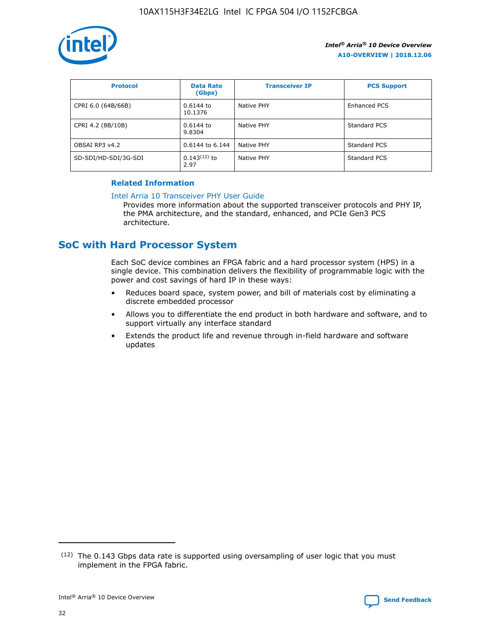

| <b>Protocol</b>      | <b>Data Rate</b><br>(Gbps) | <b>Transceiver IP</b> | <b>PCS Support</b> |
|----------------------|----------------------------|-----------------------|--------------------|
| CPRI 6.0 (64B/66B)   | 0.6144 to<br>10.1376       | Native PHY            | Enhanced PCS       |
| CPRI 4.2 (8B/10B)    | $0.6144$ to<br>9.8304      | Native PHY            | Standard PCS       |
| OBSAI RP3 v4.2       | 0.6144 to 6.144            | Native PHY            | Standard PCS       |
| SD-SDI/HD-SDI/3G-SDI | $0.143(12)$ to<br>2.97     | Native PHY            | Standard PCS       |

#### **Related Information**

#### [Intel Arria 10 Transceiver PHY User Guide](https://www.intel.com/content/www/us/en/programmable/documentation/nik1398707230472.html#nik1398707091164)

Provides more information about the supported transceiver protocols and PHY IP, the PMA architecture, and the standard, enhanced, and PCIe Gen3 PCS architecture.

## **SoC with Hard Processor System**

Each SoC device combines an FPGA fabric and a hard processor system (HPS) in a single device. This combination delivers the flexibility of programmable logic with the power and cost savings of hard IP in these ways:

- Reduces board space, system power, and bill of materials cost by eliminating a discrete embedded processor
- Allows you to differentiate the end product in both hardware and software, and to support virtually any interface standard
- Extends the product life and revenue through in-field hardware and software updates

<sup>(12)</sup> The 0.143 Gbps data rate is supported using oversampling of user logic that you must implement in the FPGA fabric.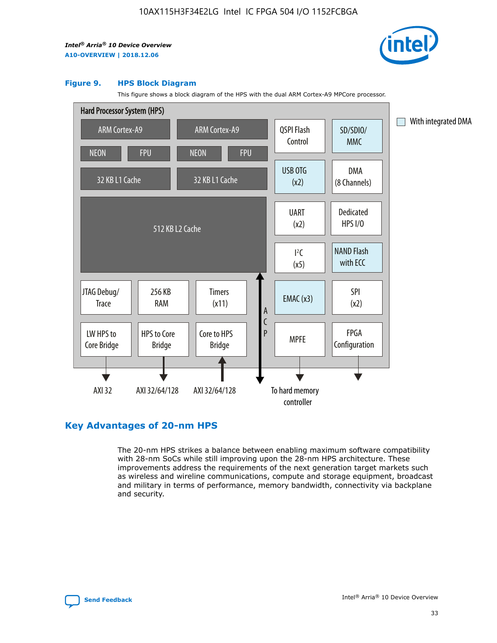

#### **Figure 9. HPS Block Diagram**

This figure shows a block diagram of the HPS with the dual ARM Cortex-A9 MPCore processor.



## **Key Advantages of 20-nm HPS**

The 20-nm HPS strikes a balance between enabling maximum software compatibility with 28-nm SoCs while still improving upon the 28-nm HPS architecture. These improvements address the requirements of the next generation target markets such as wireless and wireline communications, compute and storage equipment, broadcast and military in terms of performance, memory bandwidth, connectivity via backplane and security.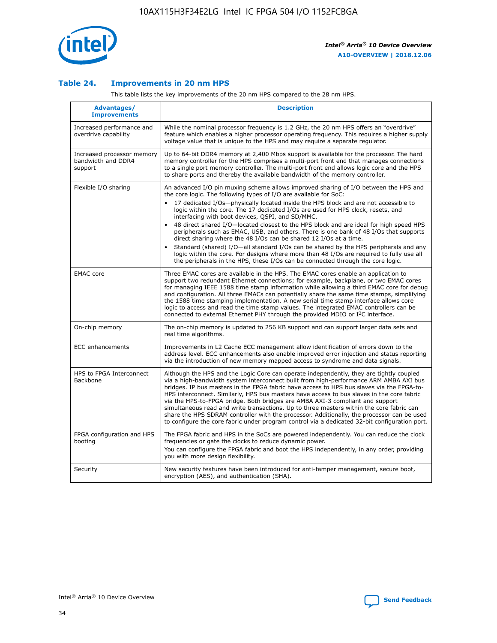

#### **Table 24. Improvements in 20 nm HPS**

This table lists the key improvements of the 20 nm HPS compared to the 28 nm HPS.

| Advantages/<br><b>Improvements</b>                          | <b>Description</b>                                                                                                                                                                                                                                                                                                                                                                                                                                                                                                                                                                                                                                                                                                                                                                                                                                                                                                      |
|-------------------------------------------------------------|-------------------------------------------------------------------------------------------------------------------------------------------------------------------------------------------------------------------------------------------------------------------------------------------------------------------------------------------------------------------------------------------------------------------------------------------------------------------------------------------------------------------------------------------------------------------------------------------------------------------------------------------------------------------------------------------------------------------------------------------------------------------------------------------------------------------------------------------------------------------------------------------------------------------------|
| Increased performance and<br>overdrive capability           | While the nominal processor frequency is 1.2 GHz, the 20 nm HPS offers an "overdrive"<br>feature which enables a higher processor operating frequency. This requires a higher supply<br>voltage value that is unique to the HPS and may require a separate regulator.                                                                                                                                                                                                                                                                                                                                                                                                                                                                                                                                                                                                                                                   |
| Increased processor memory<br>bandwidth and DDR4<br>support | Up to 64-bit DDR4 memory at 2,400 Mbps support is available for the processor. The hard<br>memory controller for the HPS comprises a multi-port front end that manages connections<br>to a single port memory controller. The multi-port front end allows logic core and the HPS<br>to share ports and thereby the available bandwidth of the memory controller.                                                                                                                                                                                                                                                                                                                                                                                                                                                                                                                                                        |
| Flexible I/O sharing                                        | An advanced I/O pin muxing scheme allows improved sharing of I/O between the HPS and<br>the core logic. The following types of I/O are available for SoC:<br>17 dedicated I/Os-physically located inside the HPS block and are not accessible to<br>logic within the core. The 17 dedicated I/Os are used for HPS clock, resets, and<br>interfacing with boot devices, QSPI, and SD/MMC.<br>48 direct shared I/O-located closest to the HPS block and are ideal for high speed HPS<br>peripherals such as EMAC, USB, and others. There is one bank of 48 I/Os that supports<br>direct sharing where the 48 I/Os can be shared 12 I/Os at a time.<br>Standard (shared) I/O-all standard I/Os can be shared by the HPS peripherals and any<br>logic within the core. For designs where more than 48 I/Os are required to fully use all<br>the peripherals in the HPS, these I/Os can be connected through the core logic. |
| <b>EMAC</b> core                                            | Three EMAC cores are available in the HPS. The EMAC cores enable an application to<br>support two redundant Ethernet connections; for example, backplane, or two EMAC cores<br>for managing IEEE 1588 time stamp information while allowing a third EMAC core for debug<br>and configuration. All three EMACs can potentially share the same time stamps, simplifying<br>the 1588 time stamping implementation. A new serial time stamp interface allows core<br>logic to access and read the time stamp values. The integrated EMAC controllers can be<br>connected to external Ethernet PHY through the provided MDIO or I <sup>2</sup> C interface.                                                                                                                                                                                                                                                                  |
| On-chip memory                                              | The on-chip memory is updated to 256 KB support and can support larger data sets and<br>real time algorithms.                                                                                                                                                                                                                                                                                                                                                                                                                                                                                                                                                                                                                                                                                                                                                                                                           |
| <b>ECC</b> enhancements                                     | Improvements in L2 Cache ECC management allow identification of errors down to the<br>address level. ECC enhancements also enable improved error injection and status reporting<br>via the introduction of new memory mapped access to syndrome and data signals.                                                                                                                                                                                                                                                                                                                                                                                                                                                                                                                                                                                                                                                       |
| HPS to FPGA Interconnect<br>Backbone                        | Although the HPS and the Logic Core can operate independently, they are tightly coupled<br>via a high-bandwidth system interconnect built from high-performance ARM AMBA AXI bus<br>bridges. IP bus masters in the FPGA fabric have access to HPS bus slaves via the FPGA-to-<br>HPS interconnect. Similarly, HPS bus masters have access to bus slaves in the core fabric<br>via the HPS-to-FPGA bridge. Both bridges are AMBA AXI-3 compliant and support<br>simultaneous read and write transactions. Up to three masters within the core fabric can<br>share the HPS SDRAM controller with the processor. Additionally, the processor can be used<br>to configure the core fabric under program control via a dedicated 32-bit configuration port.                                                                                                                                                                  |
| FPGA configuration and HPS<br>booting                       | The FPGA fabric and HPS in the SoCs are powered independently. You can reduce the clock<br>frequencies or gate the clocks to reduce dynamic power.<br>You can configure the FPGA fabric and boot the HPS independently, in any order, providing<br>you with more design flexibility.                                                                                                                                                                                                                                                                                                                                                                                                                                                                                                                                                                                                                                    |
| Security                                                    | New security features have been introduced for anti-tamper management, secure boot,<br>encryption (AES), and authentication (SHA).                                                                                                                                                                                                                                                                                                                                                                                                                                                                                                                                                                                                                                                                                                                                                                                      |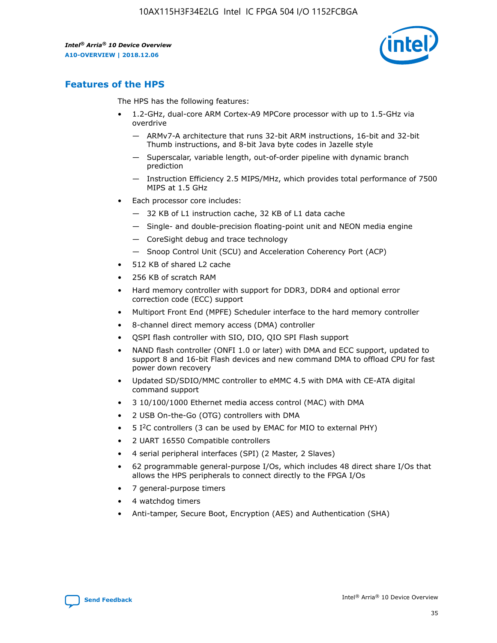

## **Features of the HPS**

The HPS has the following features:

- 1.2-GHz, dual-core ARM Cortex-A9 MPCore processor with up to 1.5-GHz via overdrive
	- ARMv7-A architecture that runs 32-bit ARM instructions, 16-bit and 32-bit Thumb instructions, and 8-bit Java byte codes in Jazelle style
	- Superscalar, variable length, out-of-order pipeline with dynamic branch prediction
	- Instruction Efficiency 2.5 MIPS/MHz, which provides total performance of 7500 MIPS at 1.5 GHz
- Each processor core includes:
	- 32 KB of L1 instruction cache, 32 KB of L1 data cache
	- Single- and double-precision floating-point unit and NEON media engine
	- CoreSight debug and trace technology
	- Snoop Control Unit (SCU) and Acceleration Coherency Port (ACP)
- 512 KB of shared L2 cache
- 256 KB of scratch RAM
- Hard memory controller with support for DDR3, DDR4 and optional error correction code (ECC) support
- Multiport Front End (MPFE) Scheduler interface to the hard memory controller
- 8-channel direct memory access (DMA) controller
- QSPI flash controller with SIO, DIO, QIO SPI Flash support
- NAND flash controller (ONFI 1.0 or later) with DMA and ECC support, updated to support 8 and 16-bit Flash devices and new command DMA to offload CPU for fast power down recovery
- Updated SD/SDIO/MMC controller to eMMC 4.5 with DMA with CE-ATA digital command support
- 3 10/100/1000 Ethernet media access control (MAC) with DMA
- 2 USB On-the-Go (OTG) controllers with DMA
- $\bullet$  5 I<sup>2</sup>C controllers (3 can be used by EMAC for MIO to external PHY)
- 2 UART 16550 Compatible controllers
- 4 serial peripheral interfaces (SPI) (2 Master, 2 Slaves)
- 62 programmable general-purpose I/Os, which includes 48 direct share I/Os that allows the HPS peripherals to connect directly to the FPGA I/Os
- 7 general-purpose timers
- 4 watchdog timers
- Anti-tamper, Secure Boot, Encryption (AES) and Authentication (SHA)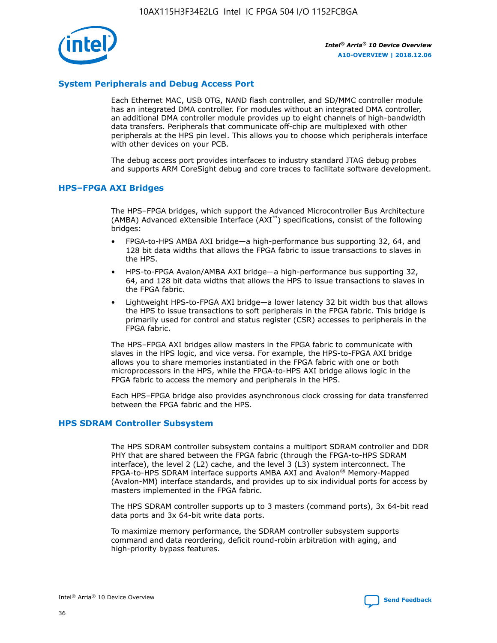

#### **System Peripherals and Debug Access Port**

Each Ethernet MAC, USB OTG, NAND flash controller, and SD/MMC controller module has an integrated DMA controller. For modules without an integrated DMA controller, an additional DMA controller module provides up to eight channels of high-bandwidth data transfers. Peripherals that communicate off-chip are multiplexed with other peripherals at the HPS pin level. This allows you to choose which peripherals interface with other devices on your PCB.

The debug access port provides interfaces to industry standard JTAG debug probes and supports ARM CoreSight debug and core traces to facilitate software development.

#### **HPS–FPGA AXI Bridges**

The HPS–FPGA bridges, which support the Advanced Microcontroller Bus Architecture (AMBA) Advanced eXtensible Interface (AXI™) specifications, consist of the following bridges:

- FPGA-to-HPS AMBA AXI bridge—a high-performance bus supporting 32, 64, and 128 bit data widths that allows the FPGA fabric to issue transactions to slaves in the HPS.
- HPS-to-FPGA Avalon/AMBA AXI bridge—a high-performance bus supporting 32, 64, and 128 bit data widths that allows the HPS to issue transactions to slaves in the FPGA fabric.
- Lightweight HPS-to-FPGA AXI bridge—a lower latency 32 bit width bus that allows the HPS to issue transactions to soft peripherals in the FPGA fabric. This bridge is primarily used for control and status register (CSR) accesses to peripherals in the FPGA fabric.

The HPS–FPGA AXI bridges allow masters in the FPGA fabric to communicate with slaves in the HPS logic, and vice versa. For example, the HPS-to-FPGA AXI bridge allows you to share memories instantiated in the FPGA fabric with one or both microprocessors in the HPS, while the FPGA-to-HPS AXI bridge allows logic in the FPGA fabric to access the memory and peripherals in the HPS.

Each HPS–FPGA bridge also provides asynchronous clock crossing for data transferred between the FPGA fabric and the HPS.

#### **HPS SDRAM Controller Subsystem**

The HPS SDRAM controller subsystem contains a multiport SDRAM controller and DDR PHY that are shared between the FPGA fabric (through the FPGA-to-HPS SDRAM interface), the level 2 (L2) cache, and the level 3 (L3) system interconnect. The FPGA-to-HPS SDRAM interface supports AMBA AXI and Avalon® Memory-Mapped (Avalon-MM) interface standards, and provides up to six individual ports for access by masters implemented in the FPGA fabric.

The HPS SDRAM controller supports up to 3 masters (command ports), 3x 64-bit read data ports and 3x 64-bit write data ports.

To maximize memory performance, the SDRAM controller subsystem supports command and data reordering, deficit round-robin arbitration with aging, and high-priority bypass features.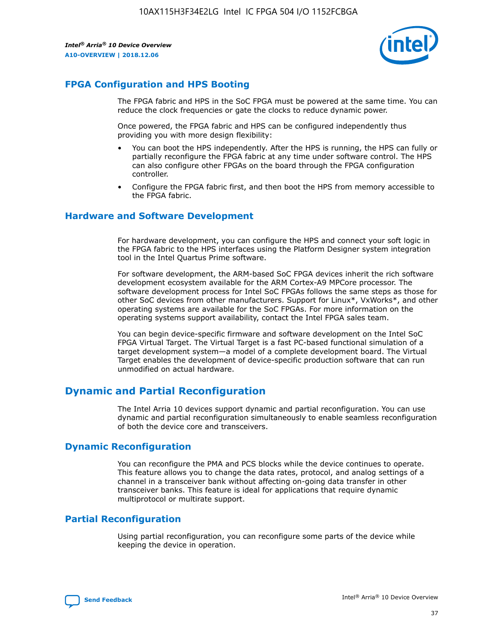

## **FPGA Configuration and HPS Booting**

The FPGA fabric and HPS in the SoC FPGA must be powered at the same time. You can reduce the clock frequencies or gate the clocks to reduce dynamic power.

Once powered, the FPGA fabric and HPS can be configured independently thus providing you with more design flexibility:

- You can boot the HPS independently. After the HPS is running, the HPS can fully or partially reconfigure the FPGA fabric at any time under software control. The HPS can also configure other FPGAs on the board through the FPGA configuration controller.
- Configure the FPGA fabric first, and then boot the HPS from memory accessible to the FPGA fabric.

#### **Hardware and Software Development**

For hardware development, you can configure the HPS and connect your soft logic in the FPGA fabric to the HPS interfaces using the Platform Designer system integration tool in the Intel Quartus Prime software.

For software development, the ARM-based SoC FPGA devices inherit the rich software development ecosystem available for the ARM Cortex-A9 MPCore processor. The software development process for Intel SoC FPGAs follows the same steps as those for other SoC devices from other manufacturers. Support for Linux\*, VxWorks\*, and other operating systems are available for the SoC FPGAs. For more information on the operating systems support availability, contact the Intel FPGA sales team.

You can begin device-specific firmware and software development on the Intel SoC FPGA Virtual Target. The Virtual Target is a fast PC-based functional simulation of a target development system—a model of a complete development board. The Virtual Target enables the development of device-specific production software that can run unmodified on actual hardware.

## **Dynamic and Partial Reconfiguration**

The Intel Arria 10 devices support dynamic and partial reconfiguration. You can use dynamic and partial reconfiguration simultaneously to enable seamless reconfiguration of both the device core and transceivers.

## **Dynamic Reconfiguration**

You can reconfigure the PMA and PCS blocks while the device continues to operate. This feature allows you to change the data rates, protocol, and analog settings of a channel in a transceiver bank without affecting on-going data transfer in other transceiver banks. This feature is ideal for applications that require dynamic multiprotocol or multirate support.

## **Partial Reconfiguration**

Using partial reconfiguration, you can reconfigure some parts of the device while keeping the device in operation.

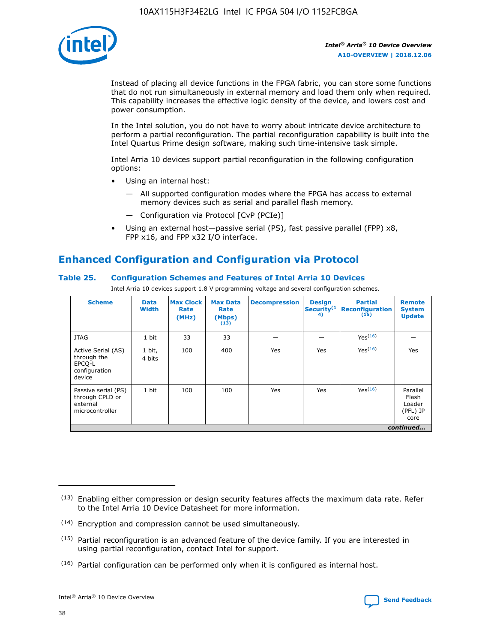

Instead of placing all device functions in the FPGA fabric, you can store some functions that do not run simultaneously in external memory and load them only when required. This capability increases the effective logic density of the device, and lowers cost and power consumption.

In the Intel solution, you do not have to worry about intricate device architecture to perform a partial reconfiguration. The partial reconfiguration capability is built into the Intel Quartus Prime design software, making such time-intensive task simple.

Intel Arria 10 devices support partial reconfiguration in the following configuration options:

- Using an internal host:
	- All supported configuration modes where the FPGA has access to external memory devices such as serial and parallel flash memory.
	- Configuration via Protocol [CvP (PCIe)]
- Using an external host—passive serial (PS), fast passive parallel (FPP) x8, FPP x16, and FPP x32 I/O interface.

## **Enhanced Configuration and Configuration via Protocol**

#### **Table 25. Configuration Schemes and Features of Intel Arria 10 Devices**

Intel Arria 10 devices support 1.8 V programming voltage and several configuration schemes.

| <b>Scheme</b>                                                          | <b>Data</b><br><b>Width</b> | <b>Max Clock</b><br>Rate<br>(MHz) | <b>Max Data</b><br>Rate<br>(Mbps)<br>(13) | <b>Decompression</b> | <b>Design</b><br>Security <sup>(1</sup><br>4) | <b>Partial</b><br><b>Reconfiguration</b><br>(15) | <b>Remote</b><br><b>System</b><br><b>Update</b> |
|------------------------------------------------------------------------|-----------------------------|-----------------------------------|-------------------------------------------|----------------------|-----------------------------------------------|--------------------------------------------------|-------------------------------------------------|
| <b>JTAG</b>                                                            | 1 bit                       | 33                                | 33                                        |                      |                                               | Yes(16)                                          |                                                 |
| Active Serial (AS)<br>through the<br>EPCO-L<br>configuration<br>device | 1 bit,<br>4 bits            | 100                               | 400                                       | Yes                  | Yes                                           | $Y_{PS}(16)$                                     | Yes                                             |
| Passive serial (PS)<br>through CPLD or<br>external<br>microcontroller  | 1 bit                       | 100                               | 100                                       | Yes                  | Yes                                           | Yes(16)                                          | Parallel<br>Flash<br>Loader<br>(PFL) IP<br>core |
|                                                                        |                             |                                   |                                           |                      |                                               |                                                  | continued                                       |

<sup>(13)</sup> Enabling either compression or design security features affects the maximum data rate. Refer to the Intel Arria 10 Device Datasheet for more information.

<sup>(14)</sup> Encryption and compression cannot be used simultaneously.

 $(15)$  Partial reconfiguration is an advanced feature of the device family. If you are interested in using partial reconfiguration, contact Intel for support.

 $(16)$  Partial configuration can be performed only when it is configured as internal host.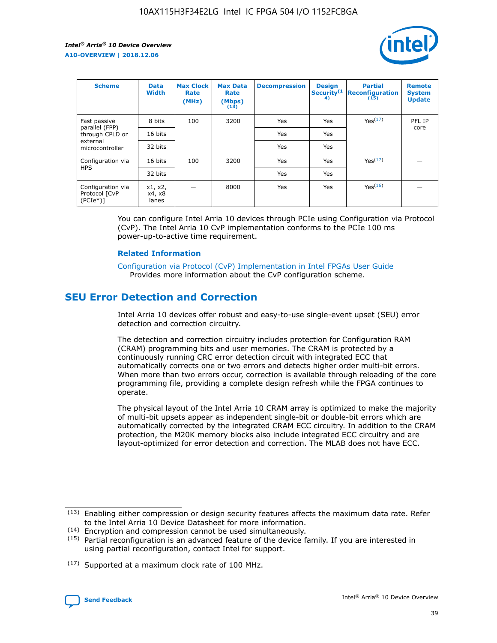

| <b>Scheme</b>                                     | <b>Data</b><br><b>Width</b> | <b>Max Clock</b><br>Rate<br>(MHz) | <b>Max Data</b><br>Rate<br>(Mbps)<br>(13) | <b>Decompression</b> | <b>Design</b><br>Security <sup>(1</sup><br>4) | <b>Partial</b><br><b>Reconfiguration</b><br>(15) | <b>Remote</b><br><b>System</b><br><b>Update</b> |
|---------------------------------------------------|-----------------------------|-----------------------------------|-------------------------------------------|----------------------|-----------------------------------------------|--------------------------------------------------|-------------------------------------------------|
| Fast passive                                      | 8 bits                      | 100                               | 3200                                      | Yes                  | Yes                                           | Yes(17)                                          | PFL IP                                          |
| parallel (FPP)<br>through CPLD or                 | 16 bits                     |                                   |                                           | Yes                  | Yes                                           |                                                  | core                                            |
| external<br>microcontroller                       | 32 bits                     |                                   |                                           | Yes                  | Yes                                           |                                                  |                                                 |
| Configuration via                                 | 16 bits                     | 100                               | 3200                                      | Yes                  | Yes                                           | Yes <sup>(17)</sup>                              |                                                 |
| <b>HPS</b>                                        | 32 bits                     |                                   |                                           | Yes                  | Yes                                           |                                                  |                                                 |
| Configuration via<br>Protocol [CvP<br>$(PCIe*)$ ] | x1, x2,<br>x4, x8<br>lanes  |                                   | 8000                                      | Yes                  | Yes                                           | Yes(16)                                          |                                                 |

You can configure Intel Arria 10 devices through PCIe using Configuration via Protocol (CvP). The Intel Arria 10 CvP implementation conforms to the PCIe 100 ms power-up-to-active time requirement.

#### **Related Information**

[Configuration via Protocol \(CvP\) Implementation in Intel FPGAs User Guide](https://www.intel.com/content/www/us/en/programmable/documentation/dsu1441819344145.html#dsu1442269728522) Provides more information about the CvP configuration scheme.

## **SEU Error Detection and Correction**

Intel Arria 10 devices offer robust and easy-to-use single-event upset (SEU) error detection and correction circuitry.

The detection and correction circuitry includes protection for Configuration RAM (CRAM) programming bits and user memories. The CRAM is protected by a continuously running CRC error detection circuit with integrated ECC that automatically corrects one or two errors and detects higher order multi-bit errors. When more than two errors occur, correction is available through reloading of the core programming file, providing a complete design refresh while the FPGA continues to operate.

The physical layout of the Intel Arria 10 CRAM array is optimized to make the majority of multi-bit upsets appear as independent single-bit or double-bit errors which are automatically corrected by the integrated CRAM ECC circuitry. In addition to the CRAM protection, the M20K memory blocks also include integrated ECC circuitry and are layout-optimized for error detection and correction. The MLAB does not have ECC.

<sup>(17)</sup> Supported at a maximum clock rate of 100 MHz.



 $(13)$  Enabling either compression or design security features affects the maximum data rate. Refer to the Intel Arria 10 Device Datasheet for more information.

<sup>(14)</sup> Encryption and compression cannot be used simultaneously.

 $(15)$  Partial reconfiguration is an advanced feature of the device family. If you are interested in using partial reconfiguration, contact Intel for support.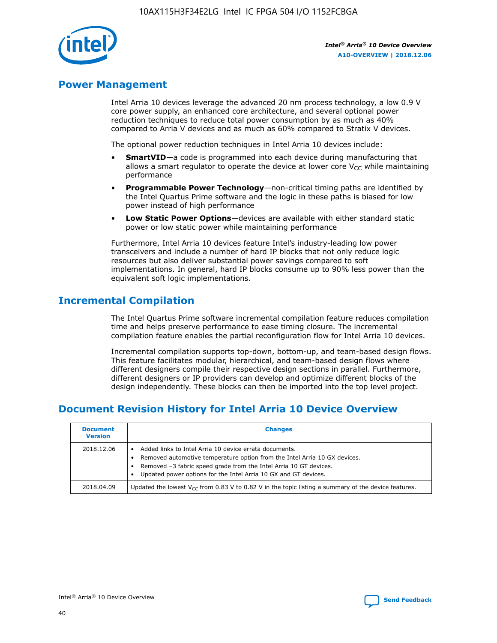

## **Power Management**

Intel Arria 10 devices leverage the advanced 20 nm process technology, a low 0.9 V core power supply, an enhanced core architecture, and several optional power reduction techniques to reduce total power consumption by as much as 40% compared to Arria V devices and as much as 60% compared to Stratix V devices.

The optional power reduction techniques in Intel Arria 10 devices include:

- **SmartVID**—a code is programmed into each device during manufacturing that allows a smart regulator to operate the device at lower core  $V_{CC}$  while maintaining performance
- **Programmable Power Technology**—non-critical timing paths are identified by the Intel Quartus Prime software and the logic in these paths is biased for low power instead of high performance
- **Low Static Power Options**—devices are available with either standard static power or low static power while maintaining performance

Furthermore, Intel Arria 10 devices feature Intel's industry-leading low power transceivers and include a number of hard IP blocks that not only reduce logic resources but also deliver substantial power savings compared to soft implementations. In general, hard IP blocks consume up to 90% less power than the equivalent soft logic implementations.

## **Incremental Compilation**

The Intel Quartus Prime software incremental compilation feature reduces compilation time and helps preserve performance to ease timing closure. The incremental compilation feature enables the partial reconfiguration flow for Intel Arria 10 devices.

Incremental compilation supports top-down, bottom-up, and team-based design flows. This feature facilitates modular, hierarchical, and team-based design flows where different designers compile their respective design sections in parallel. Furthermore, different designers or IP providers can develop and optimize different blocks of the design independently. These blocks can then be imported into the top level project.

## **Document Revision History for Intel Arria 10 Device Overview**

| <b>Document</b><br><b>Version</b> | <b>Changes</b>                                                                                                                                                                                                                                                              |
|-----------------------------------|-----------------------------------------------------------------------------------------------------------------------------------------------------------------------------------------------------------------------------------------------------------------------------|
| 2018.12.06                        | Added links to Intel Arria 10 device errata documents.<br>Removed automotive temperature option from the Intel Arria 10 GX devices.<br>Removed -3 fabric speed grade from the Intel Arria 10 GT devices.<br>Updated power options for the Intel Arria 10 GX and GT devices. |
| 2018.04.09                        | Updated the lowest $V_{CC}$ from 0.83 V to 0.82 V in the topic listing a summary of the device features.                                                                                                                                                                    |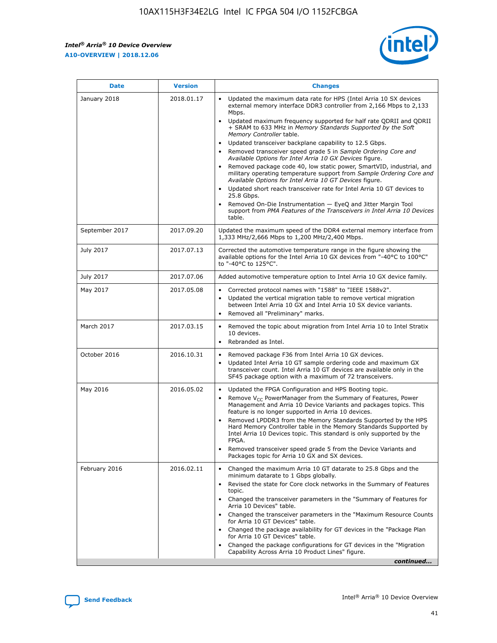$\mathsf{r}$ 



| January 2018<br>Updated the maximum data rate for HPS (Intel Arria 10 SX devices<br>2018.01.17<br>external memory interface DDR3 controller from 2,166 Mbps to 2,133<br>Mbps.<br>$\bullet$<br>+ SRAM to 633 MHz in Memory Standards Supported by the Soft<br>Memory Controller table.<br>Updated transceiver backplane capability to 12.5 Gbps.<br>$\bullet$<br>Removed transceiver speed grade 5 in Sample Ordering Core and<br>Available Options for Intel Arria 10 GX Devices figure.<br>Available Options for Intel Arria 10 GT Devices figure.<br>Updated short reach transceiver rate for Intel Arria 10 GT devices to<br>$\bullet$<br>25.8 Gbps.<br>Removed On-Die Instrumentation - EyeQ and Jitter Margin Tool<br>table.<br>2017.09.20<br>September 2017<br>1,333 MHz/2,666 Mbps to 1,200 MHz/2,400 Mbps.<br>July 2017<br>2017.07.13<br>Corrected the automotive temperature range in the figure showing the<br>available options for the Intel Arria 10 GX devices from "-40°C to 100°C"<br>to "-40°C to 125°C".<br>July 2017<br>2017.07.06<br>Added automotive temperature option to Intel Arria 10 GX device family.<br>2017.05.08<br>Corrected protocol names with "1588" to "IEEE 1588v2".<br>May 2017<br>$\bullet$<br>Updated the vertical migration table to remove vertical migration<br>$\bullet$<br>between Intel Arria 10 GX and Intel Arria 10 SX device variants.<br>Removed all "Preliminary" marks.<br>2017.03.15<br>March 2017<br>Removed the topic about migration from Intel Arria 10 to Intel Stratix<br>10 devices.<br>Rebranded as Intel.<br>$\bullet$<br>October 2016<br>2016.10.31<br>Removed package F36 from Intel Arria 10 GX devices.<br>$\bullet$<br>Updated Intel Arria 10 GT sample ordering code and maximum GX<br>$\bullet$<br>transceiver count. Intel Arria 10 GT devices are available only in the<br>SF45 package option with a maximum of 72 transceivers.<br>May 2016<br>2016.05.02<br>Updated the FPGA Configuration and HPS Booting topic.<br>Remove $V_{CC}$ PowerManager from the Summary of Features, Power<br>Management and Arria 10 Device Variants and packages topics. This<br>feature is no longer supported in Arria 10 devices.<br>Removed LPDDR3 from the Memory Standards Supported by the HPS<br>Hard Memory Controller table in the Memory Standards Supported by<br>Intel Arria 10 Devices topic. This standard is only supported by the<br>FPGA.<br>Removed transceiver speed grade 5 from the Device Variants and<br>Packages topic for Arria 10 GX and SX devices.<br>Changed the maximum Arria 10 GT datarate to 25.8 Gbps and the<br>February 2016<br>2016.02.11<br>minimum datarate to 1 Gbps globally.<br>Revised the state for Core clock networks in the Summary of Features<br>$\bullet$<br>topic.<br>• Changed the transceiver parameters in the "Summary of Features for<br>Arria 10 Devices" table.<br>for Arria 10 GT Devices" table.<br>• Changed the package availability for GT devices in the "Package Plan<br>for Arria 10 GT Devices" table.<br>Changed the package configurations for GT devices in the "Migration"<br>Capability Across Arria 10 Product Lines" figure. | <b>Date</b> | <b>Version</b> | <b>Changes</b>                                                                                                                                                                                                                                                                               |
|----------------------------------------------------------------------------------------------------------------------------------------------------------------------------------------------------------------------------------------------------------------------------------------------------------------------------------------------------------------------------------------------------------------------------------------------------------------------------------------------------------------------------------------------------------------------------------------------------------------------------------------------------------------------------------------------------------------------------------------------------------------------------------------------------------------------------------------------------------------------------------------------------------------------------------------------------------------------------------------------------------------------------------------------------------------------------------------------------------------------------------------------------------------------------------------------------------------------------------------------------------------------------------------------------------------------------------------------------------------------------------------------------------------------------------------------------------------------------------------------------------------------------------------------------------------------------------------------------------------------------------------------------------------------------------------------------------------------------------------------------------------------------------------------------------------------------------------------------------------------------------------------------------------------------------------------------------------------------------------------------------------------------------------------------------------------------------------------------------------------------------------------------------------------------------------------------------------------------------------------------------------------------------------------------------------------------------------------------------------------------------------------------------------------------------------------------------------------------------------------------------------------------------------------------------------------------------------------------------------------------------------------------------------------------------------------------------------------------------------------------------------------------------------------------------------------------------------------------------------------------------------------------------------------------------------------------------------------------------------------------------------------------------------------------------------------------------------------------------------------------------------------------------------|-------------|----------------|----------------------------------------------------------------------------------------------------------------------------------------------------------------------------------------------------------------------------------------------------------------------------------------------|
|                                                                                                                                                                                                                                                                                                                                                                                                                                                                                                                                                                                                                                                                                                                                                                                                                                                                                                                                                                                                                                                                                                                                                                                                                                                                                                                                                                                                                                                                                                                                                                                                                                                                                                                                                                                                                                                                                                                                                                                                                                                                                                                                                                                                                                                                                                                                                                                                                                                                                                                                                                                                                                                                                                                                                                                                                                                                                                                                                                                                                                                                                                                                                                |             |                | Updated maximum frequency supported for half rate QDRII and QDRII<br>Removed package code 40, low static power, SmartVID, industrial, and<br>military operating temperature support from Sample Ordering Core and<br>support from PMA Features of the Transceivers in Intel Arria 10 Devices |
|                                                                                                                                                                                                                                                                                                                                                                                                                                                                                                                                                                                                                                                                                                                                                                                                                                                                                                                                                                                                                                                                                                                                                                                                                                                                                                                                                                                                                                                                                                                                                                                                                                                                                                                                                                                                                                                                                                                                                                                                                                                                                                                                                                                                                                                                                                                                                                                                                                                                                                                                                                                                                                                                                                                                                                                                                                                                                                                                                                                                                                                                                                                                                                |             |                | Updated the maximum speed of the DDR4 external memory interface from                                                                                                                                                                                                                         |
|                                                                                                                                                                                                                                                                                                                                                                                                                                                                                                                                                                                                                                                                                                                                                                                                                                                                                                                                                                                                                                                                                                                                                                                                                                                                                                                                                                                                                                                                                                                                                                                                                                                                                                                                                                                                                                                                                                                                                                                                                                                                                                                                                                                                                                                                                                                                                                                                                                                                                                                                                                                                                                                                                                                                                                                                                                                                                                                                                                                                                                                                                                                                                                |             |                |                                                                                                                                                                                                                                                                                              |
|                                                                                                                                                                                                                                                                                                                                                                                                                                                                                                                                                                                                                                                                                                                                                                                                                                                                                                                                                                                                                                                                                                                                                                                                                                                                                                                                                                                                                                                                                                                                                                                                                                                                                                                                                                                                                                                                                                                                                                                                                                                                                                                                                                                                                                                                                                                                                                                                                                                                                                                                                                                                                                                                                                                                                                                                                                                                                                                                                                                                                                                                                                                                                                |             |                |                                                                                                                                                                                                                                                                                              |
|                                                                                                                                                                                                                                                                                                                                                                                                                                                                                                                                                                                                                                                                                                                                                                                                                                                                                                                                                                                                                                                                                                                                                                                                                                                                                                                                                                                                                                                                                                                                                                                                                                                                                                                                                                                                                                                                                                                                                                                                                                                                                                                                                                                                                                                                                                                                                                                                                                                                                                                                                                                                                                                                                                                                                                                                                                                                                                                                                                                                                                                                                                                                                                |             |                |                                                                                                                                                                                                                                                                                              |
|                                                                                                                                                                                                                                                                                                                                                                                                                                                                                                                                                                                                                                                                                                                                                                                                                                                                                                                                                                                                                                                                                                                                                                                                                                                                                                                                                                                                                                                                                                                                                                                                                                                                                                                                                                                                                                                                                                                                                                                                                                                                                                                                                                                                                                                                                                                                                                                                                                                                                                                                                                                                                                                                                                                                                                                                                                                                                                                                                                                                                                                                                                                                                                |             |                |                                                                                                                                                                                                                                                                                              |
|                                                                                                                                                                                                                                                                                                                                                                                                                                                                                                                                                                                                                                                                                                                                                                                                                                                                                                                                                                                                                                                                                                                                                                                                                                                                                                                                                                                                                                                                                                                                                                                                                                                                                                                                                                                                                                                                                                                                                                                                                                                                                                                                                                                                                                                                                                                                                                                                                                                                                                                                                                                                                                                                                                                                                                                                                                                                                                                                                                                                                                                                                                                                                                |             |                |                                                                                                                                                                                                                                                                                              |
|                                                                                                                                                                                                                                                                                                                                                                                                                                                                                                                                                                                                                                                                                                                                                                                                                                                                                                                                                                                                                                                                                                                                                                                                                                                                                                                                                                                                                                                                                                                                                                                                                                                                                                                                                                                                                                                                                                                                                                                                                                                                                                                                                                                                                                                                                                                                                                                                                                                                                                                                                                                                                                                                                                                                                                                                                                                                                                                                                                                                                                                                                                                                                                |             |                |                                                                                                                                                                                                                                                                                              |
|                                                                                                                                                                                                                                                                                                                                                                                                                                                                                                                                                                                                                                                                                                                                                                                                                                                                                                                                                                                                                                                                                                                                                                                                                                                                                                                                                                                                                                                                                                                                                                                                                                                                                                                                                                                                                                                                                                                                                                                                                                                                                                                                                                                                                                                                                                                                                                                                                                                                                                                                                                                                                                                                                                                                                                                                                                                                                                                                                                                                                                                                                                                                                                |             |                | Changed the transceiver parameters in the "Maximum Resource Counts"<br>continued                                                                                                                                                                                                             |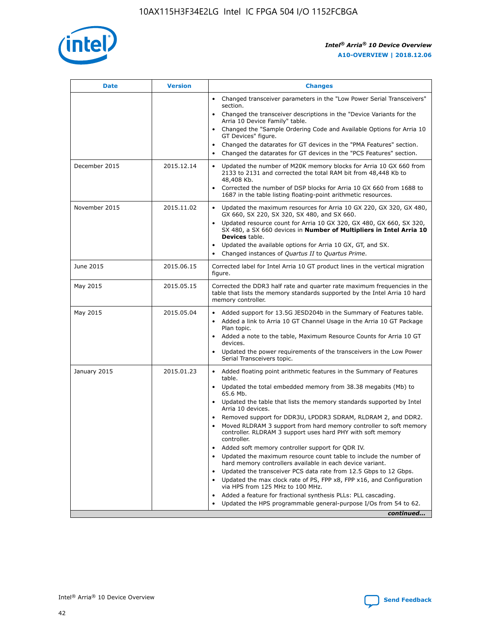

| <b>Date</b>   | <b>Version</b> | <b>Changes</b>                                                                                                                                                               |
|---------------|----------------|------------------------------------------------------------------------------------------------------------------------------------------------------------------------------|
|               |                | • Changed transceiver parameters in the "Low Power Serial Transceivers"<br>section.                                                                                          |
|               |                | • Changed the transceiver descriptions in the "Device Variants for the<br>Arria 10 Device Family" table.                                                                     |
|               |                | Changed the "Sample Ordering Code and Available Options for Arria 10<br>$\bullet$<br>GT Devices" figure.                                                                     |
|               |                | Changed the datarates for GT devices in the "PMA Features" section.                                                                                                          |
|               |                | Changed the datarates for GT devices in the "PCS Features" section.<br>$\bullet$                                                                                             |
| December 2015 | 2015.12.14     | Updated the number of M20K memory blocks for Arria 10 GX 660 from<br>2133 to 2131 and corrected the total RAM bit from 48,448 Kb to<br>48,408 Kb.                            |
|               |                | Corrected the number of DSP blocks for Arria 10 GX 660 from 1688 to<br>1687 in the table listing floating-point arithmetic resources.                                        |
| November 2015 | 2015.11.02     | Updated the maximum resources for Arria 10 GX 220, GX 320, GX 480,<br>$\bullet$<br>GX 660, SX 220, SX 320, SX 480, and SX 660.                                               |
|               |                | • Updated resource count for Arria 10 GX 320, GX 480, GX 660, SX 320,<br>SX 480, a SX 660 devices in Number of Multipliers in Intel Arria 10<br><b>Devices</b> table.        |
|               |                | Updated the available options for Arria 10 GX, GT, and SX.                                                                                                                   |
|               |                | Changed instances of Quartus II to Quartus Prime.<br>$\bullet$                                                                                                               |
| June 2015     | 2015.06.15     | Corrected label for Intel Arria 10 GT product lines in the vertical migration<br>figure.                                                                                     |
| May 2015      | 2015.05.15     | Corrected the DDR3 half rate and quarter rate maximum frequencies in the<br>table that lists the memory standards supported by the Intel Arria 10 hard<br>memory controller. |
| May 2015      | 2015.05.04     | • Added support for 13.5G JESD204b in the Summary of Features table.<br>• Added a link to Arria 10 GT Channel Usage in the Arria 10 GT Package<br>Plan topic.                |
|               |                | • Added a note to the table, Maximum Resource Counts for Arria 10 GT<br>devices.                                                                                             |
|               |                | • Updated the power requirements of the transceivers in the Low Power<br>Serial Transceivers topic.                                                                          |
| January 2015  | 2015.01.23     | • Added floating point arithmetic features in the Summary of Features<br>table.                                                                                              |
|               |                | • Updated the total embedded memory from 38.38 megabits (Mb) to<br>65.6 Mb.                                                                                                  |
|               |                | • Updated the table that lists the memory standards supported by Intel<br>Arria 10 devices.                                                                                  |
|               |                | Removed support for DDR3U, LPDDR3 SDRAM, RLDRAM 2, and DDR2.                                                                                                                 |
|               |                | Moved RLDRAM 3 support from hard memory controller to soft memory<br>controller. RLDRAM 3 support uses hard PHY with soft memory<br>controller.                              |
|               |                | Added soft memory controller support for QDR IV.<br>٠                                                                                                                        |
|               |                | Updated the maximum resource count table to include the number of<br>hard memory controllers available in each device variant.                                               |
|               |                | Updated the transceiver PCS data rate from 12.5 Gbps to 12 Gbps.<br>$\bullet$                                                                                                |
|               |                | Updated the max clock rate of PS, FPP x8, FPP x16, and Configuration<br>via HPS from 125 MHz to 100 MHz.                                                                     |
|               |                | Added a feature for fractional synthesis PLLs: PLL cascading.                                                                                                                |
|               |                | Updated the HPS programmable general-purpose I/Os from 54 to 62.<br>$\bullet$<br>continued                                                                                   |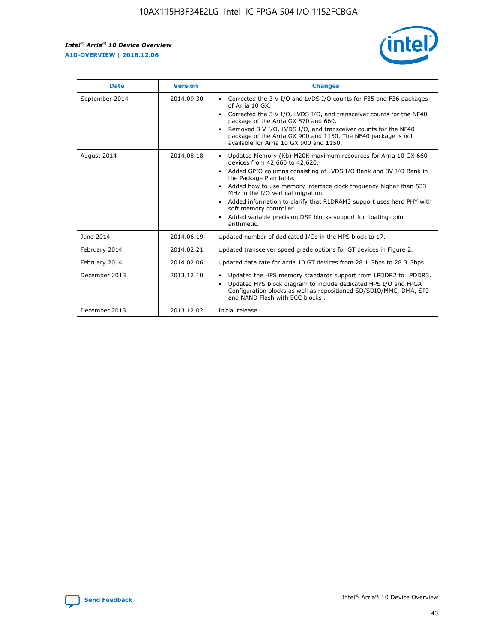

| <b>Date</b>    | <b>Version</b> | <b>Changes</b>                                                                                                                                                                                                                                                                                                                                                                                                                                                                                                                                      |
|----------------|----------------|-----------------------------------------------------------------------------------------------------------------------------------------------------------------------------------------------------------------------------------------------------------------------------------------------------------------------------------------------------------------------------------------------------------------------------------------------------------------------------------------------------------------------------------------------------|
| September 2014 | 2014.09.30     | Corrected the 3 V I/O and LVDS I/O counts for F35 and F36 packages<br>$\bullet$<br>of Arria 10 GX.<br>Corrected the 3 V I/O, LVDS I/O, and transceiver counts for the NF40<br>$\bullet$<br>package of the Arria GX 570 and 660.<br>Removed 3 V I/O, LVDS I/O, and transceiver counts for the NF40<br>$\bullet$<br>package of the Arria GX 900 and 1150. The NF40 package is not<br>available for Arria 10 GX 900 and 1150.                                                                                                                          |
| August 2014    | 2014.08.18     | Updated Memory (Kb) M20K maximum resources for Arria 10 GX 660<br>devices from 42,660 to 42,620.<br>Added GPIO columns consisting of LVDS I/O Bank and 3V I/O Bank in<br>$\bullet$<br>the Package Plan table.<br>Added how to use memory interface clock frequency higher than 533<br>$\bullet$<br>MHz in the I/O vertical migration.<br>Added information to clarify that RLDRAM3 support uses hard PHY with<br>$\bullet$<br>soft memory controller.<br>Added variable precision DSP blocks support for floating-point<br>$\bullet$<br>arithmetic. |
| June 2014      | 2014.06.19     | Updated number of dedicated I/Os in the HPS block to 17.                                                                                                                                                                                                                                                                                                                                                                                                                                                                                            |
| February 2014  | 2014.02.21     | Updated transceiver speed grade options for GT devices in Figure 2.                                                                                                                                                                                                                                                                                                                                                                                                                                                                                 |
| February 2014  | 2014.02.06     | Updated data rate for Arria 10 GT devices from 28.1 Gbps to 28.3 Gbps.                                                                                                                                                                                                                                                                                                                                                                                                                                                                              |
| December 2013  | 2013.12.10     | Updated the HPS memory standards support from LPDDR2 to LPDDR3.<br>Updated HPS block diagram to include dedicated HPS I/O and FPGA<br>$\bullet$<br>Configuration blocks as well as repositioned SD/SDIO/MMC, DMA, SPI<br>and NAND Flash with ECC blocks.                                                                                                                                                                                                                                                                                            |
| December 2013  | 2013.12.02     | Initial release.                                                                                                                                                                                                                                                                                                                                                                                                                                                                                                                                    |